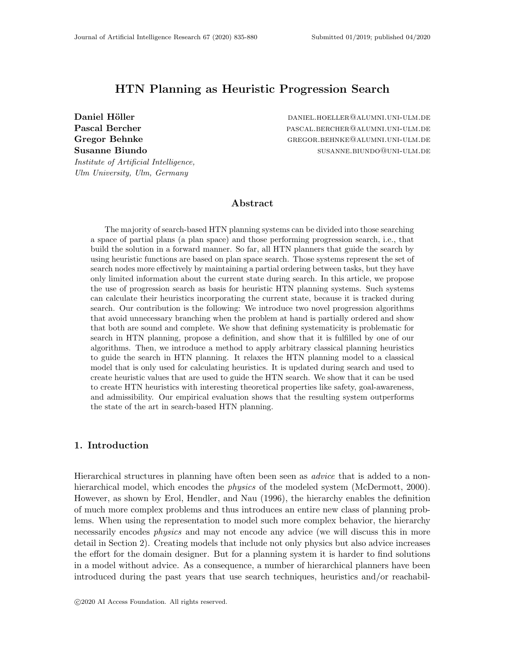# HTN Planning as Heuristic Progression Search

Institute of Artificial Intelligence,

Ulm University, Ulm, Germany

Daniel Höller daniel metalste daniel.hoeller@alumni.uni-ulm.de Pascal Bercher **pascal.bercher** pascal.bercher@alumni.uni-ulm.de Gregor Behnke GREGOR.BEHNKE@ALUMNI.UNI-ULM.DE Susanne Biundo susanne. Susanne. Biundo susanne. Susanne. Biundo susanne. Biundo susanne. Biundo susanne. Biundo

## Abstract

The majority of search-based HTN planning systems can be divided into those searching a space of partial plans (a plan space) and those performing progression search, i.e., that build the solution in a forward manner. So far, all HTN planners that guide the search by using heuristic functions are based on plan space search. Those systems represent the set of search nodes more effectively by maintaining a partial ordering between tasks, but they have only limited information about the current state during search. In this article, we propose the use of progression search as basis for heuristic HTN planning systems. Such systems can calculate their heuristics incorporating the current state, because it is tracked during search. Our contribution is the following: We introduce two novel progression algorithms that avoid unnecessary branching when the problem at hand is partially ordered and show that both are sound and complete. We show that defining systematicity is problematic for search in HTN planning, propose a definition, and show that it is fulfilled by one of our algorithms. Then, we introduce a method to apply arbitrary classical planning heuristics to guide the search in HTN planning. It relaxes the HTN planning model to a classical model that is only used for calculating heuristics. It is updated during search and used to create heuristic values that are used to guide the HTN search. We show that it can be used to create HTN heuristics with interesting theoretical properties like safety, goal-awareness, and admissibility. Our empirical evaluation shows that the resulting system outperforms the state of the art in search-based HTN planning.

## 1. Introduction

Hierarchical structures in planning have often been seen as *advice* that is added to a nonhierarchical model, which encodes the *physics* of the modeled system (McDermott, 2000). However, as shown by Erol, Hendler, and Nau (1996), the hierarchy enables the definition of much more complex problems and thus introduces an entire new class of planning problems. When using the representation to model such more complex behavior, the hierarchy necessarily encodes *physics* and may not encode any advice (we will discuss this in more detail in Section 2). Creating models that include not only physics but also advice increases the effort for the domain designer. But for a planning system it is harder to find solutions in a model without advice. As a consequence, a number of hierarchical planners have been introduced during the past years that use search techniques, heuristics and/or reachabil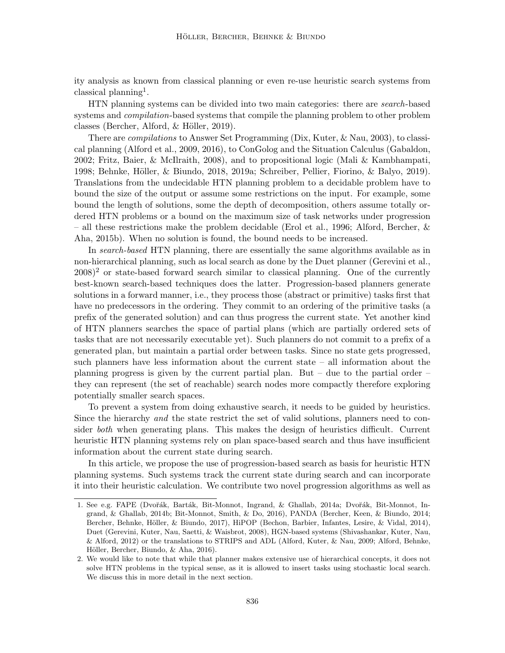ity analysis as known from classical planning or even re-use heuristic search systems from classical planning<sup>1</sup>.

HTN planning systems can be divided into two main categories: there are search-based systems and *compilation*-based systems that compile the planning problem to other problem classes (Bercher, Alford,  $&$  Höller, 2019).

There are compilations to Answer Set Programming (Dix, Kuter, & Nau, 2003), to classical planning (Alford et al., 2009, 2016), to ConGolog and the Situation Calculus (Gabaldon, 2002; Fritz, Baier, & McIlraith, 2008), and to propositional logic (Mali & Kambhampati, 1998; Behnke, Höller, & Biundo, 2018, 2019a; Schreiber, Pellier, Fiorino, & Balyo, 2019). Translations from the undecidable HTN planning problem to a decidable problem have to bound the size of the output or assume some restrictions on the input. For example, some bound the length of solutions, some the depth of decomposition, others assume totally ordered HTN problems or a bound on the maximum size of task networks under progression – all these restrictions make the problem decidable (Erol et al., 1996; Alford, Bercher, & Aha, 2015b). When no solution is found, the bound needs to be increased.

In search-based HTN planning, there are essentially the same algorithms available as in non-hierarchical planning, such as local search as done by the Duet planner (Gerevini et al.,  $2008$ <sup>2</sup> or state-based forward search similar to classical planning. One of the currently best-known search-based techniques does the latter. Progression-based planners generate solutions in a forward manner, i.e., they process those (abstract or primitive) tasks first that have no predecessors in the ordering. They commit to an ordering of the primitive tasks (a prefix of the generated solution) and can thus progress the current state. Yet another kind of HTN planners searches the space of partial plans (which are partially ordered sets of tasks that are not necessarily executable yet). Such planners do not commit to a prefix of a generated plan, but maintain a partial order between tasks. Since no state gets progressed, such planners have less information about the current state – all information about the planning progress is given by the current partial plan. But – due to the partial order – they can represent (the set of reachable) search nodes more compactly therefore exploring potentially smaller search spaces.

To prevent a system from doing exhaustive search, it needs to be guided by heuristics. Since the hierarchy and the state restrict the set of valid solutions, planners need to consider *both* when generating plans. This makes the design of heuristics difficult. Current heuristic HTN planning systems rely on plan space-based search and thus have insufficient information about the current state during search.

In this article, we propose the use of progression-based search as basis for heuristic HTN planning systems. Such systems track the current state during search and can incorporate it into their heuristic calculation. We contribute two novel progression algorithms as well as

<sup>1.</sup> See e.g. FAPE (Dvořák, Barták, Bit-Monnot, Ingrand, & Ghallab, 2014a; Dvořák, Bit-Monnot, Ingrand, & Ghallab, 2014b; Bit-Monnot, Smith, & Do, 2016), PANDA (Bercher, Keen, & Biundo, 2014; Bercher, Behnke, Höller, & Biundo, 2017), HiPOP (Bechon, Barbier, Infantes, Lesire, & Vidal, 2014), Duet (Gerevini, Kuter, Nau, Saetti, & Waisbrot, 2008), HGN-based systems (Shivashankar, Kuter, Nau, & Alford, 2012) or the translations to STRIPS and ADL (Alford, Kuter, & Nau, 2009; Alford, Behnke, Höller, Bercher, Biundo, & Aha, 2016).

<sup>2.</sup> We would like to note that while that planner makes extensive use of hierarchical concepts, it does not solve HTN problems in the typical sense, as it is allowed to insert tasks using stochastic local search. We discuss this in more detail in the next section.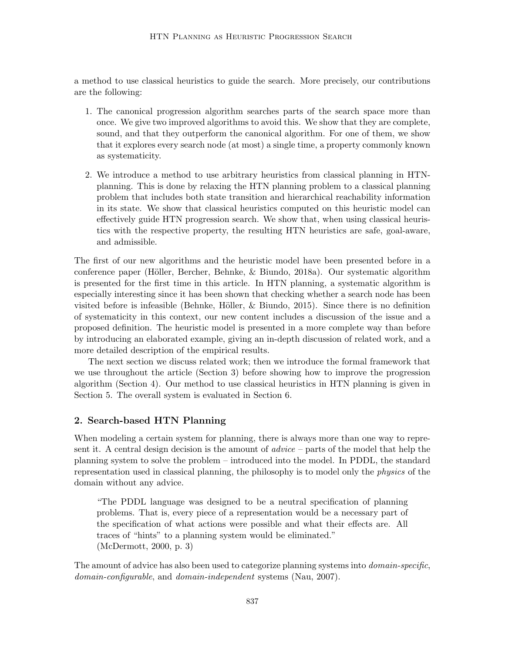a method to use classical heuristics to guide the search. More precisely, our contributions are the following:

- 1. The canonical progression algorithm searches parts of the search space more than once. We give two improved algorithms to avoid this. We show that they are complete, sound, and that they outperform the canonical algorithm. For one of them, we show that it explores every search node (at most) a single time, a property commonly known as systematicity.
- 2. We introduce a method to use arbitrary heuristics from classical planning in HTNplanning. This is done by relaxing the HTN planning problem to a classical planning problem that includes both state transition and hierarchical reachability information in its state. We show that classical heuristics computed on this heuristic model can effectively guide HTN progression search. We show that, when using classical heuristics with the respective property, the resulting HTN heuristics are safe, goal-aware, and admissible.

The first of our new algorithms and the heuristic model have been presented before in a conference paper (Höller, Bercher, Behnke, & Biundo, 2018a). Our systematic algorithm is presented for the first time in this article. In HTN planning, a systematic algorithm is especially interesting since it has been shown that checking whether a search node has been visited before is infeasible (Behnke, Höller,  $\&$  Biundo, 2015). Since there is no definition of systematicity in this context, our new content includes a discussion of the issue and a proposed definition. The heuristic model is presented in a more complete way than before by introducing an elaborated example, giving an in-depth discussion of related work, and a more detailed description of the empirical results.

The next section we discuss related work; then we introduce the formal framework that we use throughout the article (Section 3) before showing how to improve the progression algorithm (Section 4). Our method to use classical heuristics in HTN planning is given in Section 5. The overall system is evaluated in Section 6.

# 2. Search-based HTN Planning

When modeling a certain system for planning, there is always more than one way to represent it. A central design decision is the amount of  $\omega$  advice – parts of the model that help the planning system to solve the problem – introduced into the model. In PDDL, the standard representation used in classical planning, the philosophy is to model only the physics of the domain without any advice.

"The PDDL language was designed to be a neutral specification of planning problems. That is, every piece of a representation would be a necessary part of the specification of what actions were possible and what their effects are. All traces of "hints" to a planning system would be eliminated." (McDermott, 2000, p. 3)

The amount of advice has also been used to categorize planning systems into *domain-specific*, domain-configurable, and domain-independent systems (Nau, 2007).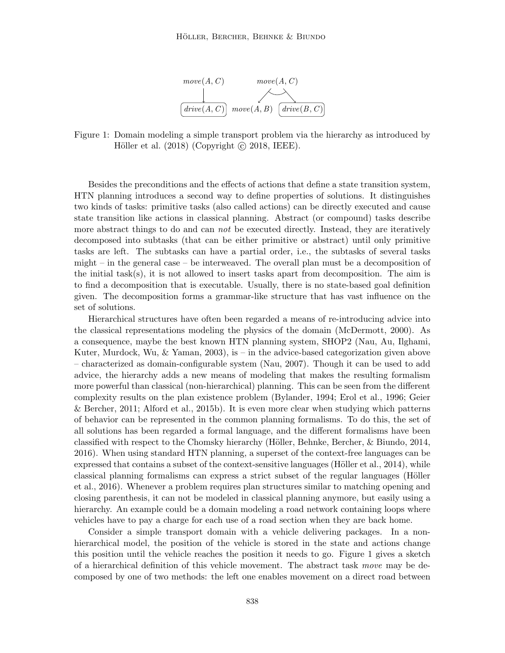

Figure 1: Domain modeling a simple transport problem via the hierarchy as introduced by Höller et al.  $(2018)$  (Copyright  $\odot$  2018, IEEE).

Besides the preconditions and the effects of actions that define a state transition system, HTN planning introduces a second way to define properties of solutions. It distinguishes two kinds of tasks: primitive tasks (also called actions) can be directly executed and cause state transition like actions in classical planning. Abstract (or compound) tasks describe more abstract things to do and can *not* be executed directly. Instead, they are iteratively decomposed into subtasks (that can be either primitive or abstract) until only primitive tasks are left. The subtasks can have a partial order, i.e., the subtasks of several tasks might – in the general case – be interweaved. The overall plan must be a decomposition of the initial task(s), it is not allowed to insert tasks apart from decomposition. The aim is to find a decomposition that is executable. Usually, there is no state-based goal definition given. The decomposition forms a grammar-like structure that has vast influence on the set of solutions.

Hierarchical structures have often been regarded a means of re-introducing advice into the classical representations modeling the physics of the domain (McDermott, 2000). As a consequence, maybe the best known HTN planning system, SHOP2 (Nau, Au, Ilghami, Kuter, Murdock, Wu,  $\&$  Yaman, 2003), is – in the advice-based categorization given above – characterized as domain-configurable system (Nau, 2007). Though it can be used to add advice, the hierarchy adds a new means of modeling that makes the resulting formalism more powerful than classical (non-hierarchical) planning. This can be seen from the different complexity results on the plan existence problem (Bylander, 1994; Erol et al., 1996; Geier & Bercher, 2011; Alford et al., 2015b). It is even more clear when studying which patterns of behavior can be represented in the common planning formalisms. To do this, the set of all solutions has been regarded a formal language, and the different formalisms have been classified with respect to the Chomsky hierarchy (H¨oller, Behnke, Bercher, & Biundo, 2014, 2016). When using standard HTN planning, a superset of the context-free languages can be expressed that contains a subset of the context-sensitive languages (Höller et al.,  $2014$ ), while classical planning formalisms can express a strict subset of the regular languages (Höller et al., 2016). Whenever a problem requires plan structures similar to matching opening and closing parenthesis, it can not be modeled in classical planning anymore, but easily using a hierarchy. An example could be a domain modeling a road network containing loops where vehicles have to pay a charge for each use of a road section when they are back home.

Consider a simple transport domain with a vehicle delivering packages. In a nonhierarchical model, the position of the vehicle is stored in the state and actions change this position until the vehicle reaches the position it needs to go. Figure 1 gives a sketch of a hierarchical definition of this vehicle movement. The abstract task move may be decomposed by one of two methods: the left one enables movement on a direct road between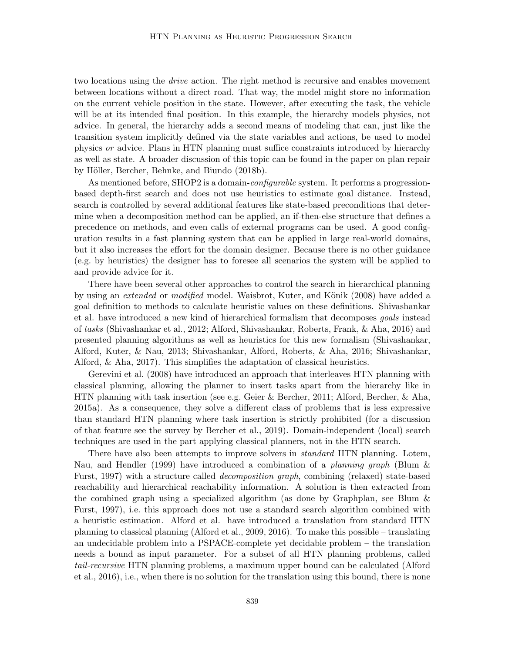two locations using the *drive* action. The right method is recursive and enables movement between locations without a direct road. That way, the model might store no information on the current vehicle position in the state. However, after executing the task, the vehicle will be at its intended final position. In this example, the hierarchy models physics, not advice. In general, the hierarchy adds a second means of modeling that can, just like the transition system implicitly defined via the state variables and actions, be used to model physics or advice. Plans in HTN planning must suffice constraints introduced by hierarchy as well as state. A broader discussion of this topic can be found in the paper on plan repair by Höller, Bercher, Behnke, and Biundo (2018b).

As mentioned before, SHOP2 is a domain-*configurable* system. It performs a progressionbased depth-first search and does not use heuristics to estimate goal distance. Instead, search is controlled by several additional features like state-based preconditions that determine when a decomposition method can be applied, an if-then-else structure that defines a precedence on methods, and even calls of external programs can be used. A good configuration results in a fast planning system that can be applied in large real-world domains, but it also increases the effort for the domain designer. Because there is no other guidance (e.g. by heuristics) the designer has to foresee all scenarios the system will be applied to and provide advice for it.

There have been several other approaches to control the search in hierarchical planning by using an *extended* or *modified* model. Waisbrot, Kuter, and Könik (2008) have added a goal definition to methods to calculate heuristic values on these definitions. Shivashankar et al. have introduced a new kind of hierarchical formalism that decomposes goals instead of tasks (Shivashankar et al., 2012; Alford, Shivashankar, Roberts, Frank, & Aha, 2016) and presented planning algorithms as well as heuristics for this new formalism (Shivashankar, Alford, Kuter, & Nau, 2013; Shivashankar, Alford, Roberts, & Aha, 2016; Shivashankar, Alford, & Aha, 2017). This simplifies the adaptation of classical heuristics.

Gerevini et al. (2008) have introduced an approach that interleaves HTN planning with classical planning, allowing the planner to insert tasks apart from the hierarchy like in HTN planning with task insertion (see e.g. Geier & Bercher, 2011; Alford, Bercher, & Aha, 2015a). As a consequence, they solve a different class of problems that is less expressive than standard HTN planning where task insertion is strictly prohibited (for a discussion of that feature see the survey by Bercher et al., 2019). Domain-independent (local) search techniques are used in the part applying classical planners, not in the HTN search.

There have also been attempts to improve solvers in *standard* HTN planning. Lotem, Nau, and Hendler (1999) have introduced a combination of a *planning graph* (Blum  $\&$ Furst, 1997) with a structure called decomposition graph, combining (relaxed) state-based reachability and hierarchical reachability information. A solution is then extracted from the combined graph using a specialized algorithm (as done by Graphplan, see Blum & Furst, 1997), i.e. this approach does not use a standard search algorithm combined with a heuristic estimation. Alford et al. have introduced a translation from standard HTN planning to classical planning (Alford et al., 2009, 2016). To make this possible – translating an undecidable problem into a PSPACE-complete yet decidable problem – the translation needs a bound as input parameter. For a subset of all HTN planning problems, called tail-recursive HTN planning problems, a maximum upper bound can be calculated (Alford et al., 2016), i.e., when there is no solution for the translation using this bound, there is none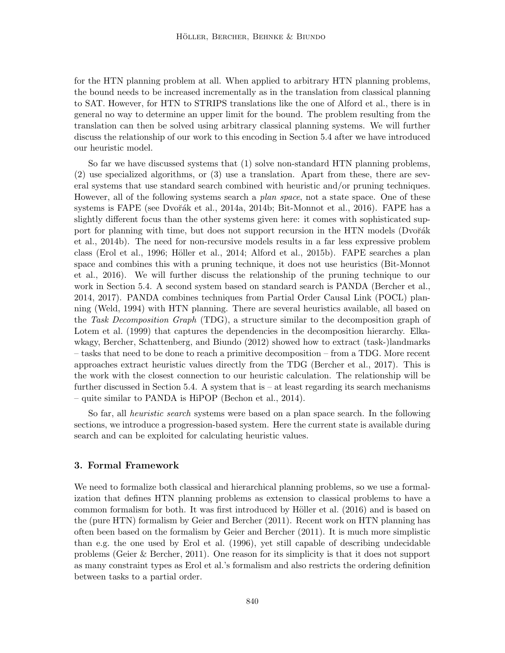for the HTN planning problem at all. When applied to arbitrary HTN planning problems, the bound needs to be increased incrementally as in the translation from classical planning to SAT. However, for HTN to STRIPS translations like the one of Alford et al., there is in general no way to determine an upper limit for the bound. The problem resulting from the translation can then be solved using arbitrary classical planning systems. We will further discuss the relationship of our work to this encoding in Section 5.4 after we have introduced our heuristic model.

So far we have discussed systems that (1) solve non-standard HTN planning problems, (2) use specialized algorithms, or (3) use a translation. Apart from these, there are several systems that use standard search combined with heuristic and/or pruning techniques. However, all of the following systems search a *plan space*, not a state space. One of these systems is FAPE (see Dvořák et al., 2014a, 2014b; Bit-Monnot et al., 2016). FAPE has a slightly different focus than the other systems given here: it comes with sophisticated support for planning with time, but does not support recursion in the HTN models (Dvořák et al., 2014b). The need for non-recursive models results in a far less expressive problem class (Erol et al., 1996; Höller et al., 2014; Alford et al., 2015b). FAPE searches a plan space and combines this with a pruning technique, it does not use heuristics (Bit-Monnot et al., 2016). We will further discuss the relationship of the pruning technique to our work in Section 5.4. A second system based on standard search is PANDA (Bercher et al., 2014, 2017). PANDA combines techniques from Partial Order Causal Link (POCL) planning (Weld, 1994) with HTN planning. There are several heuristics available, all based on the Task Decomposition Graph (TDG), a structure similar to the decomposition graph of Lotem et al. (1999) that captures the dependencies in the decomposition hierarchy. Elkawkagy, Bercher, Schattenberg, and Biundo (2012) showed how to extract (task-)landmarks – tasks that need to be done to reach a primitive decomposition – from a TDG. More recent approaches extract heuristic values directly from the TDG (Bercher et al., 2017). This is the work with the closest connection to our heuristic calculation. The relationship will be further discussed in Section 5.4. A system that is  $-$  at least regarding its search mechanisms – quite similar to PANDA is HiPOP (Bechon et al., 2014).

So far, all heuristic search systems were based on a plan space search. In the following sections, we introduce a progression-based system. Here the current state is available during search and can be exploited for calculating heuristic values.

## 3. Formal Framework

We need to formalize both classical and hierarchical planning problems, so we use a formalization that defines HTN planning problems as extension to classical problems to have a common formalism for both. It was first introduced by Höller et al. (2016) and is based on the (pure HTN) formalism by Geier and Bercher (2011). Recent work on HTN planning has often been based on the formalism by Geier and Bercher (2011). It is much more simplistic than e.g. the one used by Erol et al. (1996), yet still capable of describing undecidable problems (Geier & Bercher, 2011). One reason for its simplicity is that it does not support as many constraint types as Erol et al.'s formalism and also restricts the ordering definition between tasks to a partial order.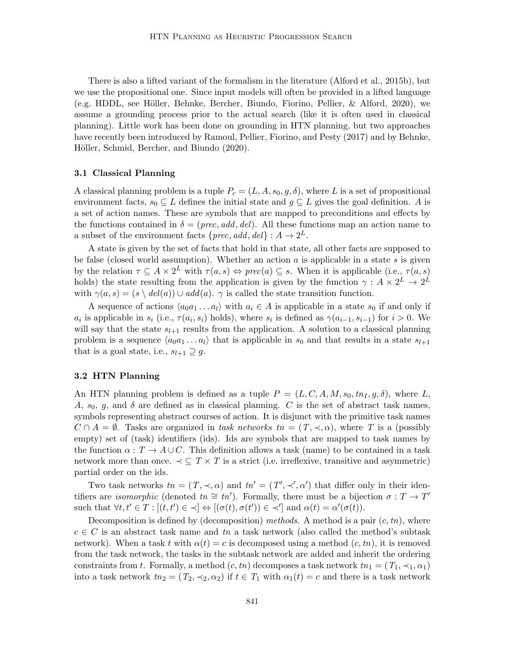There is also a lifted variant of the formalism in the literature (Alford et al., 2015b), but we use the propositional one. Since input models will often be provided in a lifted language (e.g. HDDL, see Höller, Behnke, Bercher, Biundo, Fiorino, Pellier, & Alford, 2020), we assume a grounding process prior to the actual search (like it is often used in classical planning). Little work has been done on grounding in HTN planning, but two approaches have recently been introduced by Ramoul, Pellier, Fiorino, and Pesty (2017) and by Behnke, Höller, Schmid, Bercher, and Biundo (2020).

#### 3.1 Classical Planning

A classical planning problem is a tuple  $P_c = (L, A, s_0, g, \delta)$ , where L is a set of propositional environment facts,  $s_0 \subseteq L$  defines the initial state and  $g \subseteq L$  gives the goal definition. A is a set of action names. These are symbols that are mapped to preconditions and effects by the functions contained in  $\delta = (prec, add, del)$ . All these functions map an action name to a subset of the environment facts  $\{prec, add, del\} : A \rightarrow 2^L$ .

A state is given by the set of facts that hold in that state, all other facts are supposed to be false (closed world assumption). Whether an action  $a$  is applicable in a state  $s$  is given by the relation  $\tau \subseteq A \times 2^L$  with  $\tau(a, s) \Leftrightarrow prec(a) \subseteq s$ . When it is applicable (i.e.,  $\tau(a, s)$ ) holds) the state resulting from the application is given by the function  $\gamma: A \times 2^L \to 2^L$ with  $\gamma(a, s) = (s \setminus \text{del}(a)) \cup \text{add}(a)$ .  $\gamma$  is called the state transition function.

A sequence of actions  $\langle a_0a_1 \ldots a_l \rangle$  with  $a_i \in A$  is applicable in a state  $s_0$  if and only if  $a_i$  is applicable in  $s_i$  (i.e.,  $\tau(a_i, s_i)$  holds), where  $s_i$  is defined as  $\gamma(a_{i-1}, s_{i-1})$  for  $i > 0$ . We will say that the state  $s_{l+1}$  results from the application. A solution to a classical planning problem is a sequence  $\langle a_0a_1 \dots a_l \rangle$  that is applicable in s<sub>0</sub> and that results in a state  $s_{l+1}$ that is a goal state, i.e.,  $s_{l+1} \supseteq g$ .

# 3.2 HTN Planning

An HTN planning problem is defined as a tuple  $P = (L, C, A, M, s_0, tn_I, g, \delta)$ , where L, A,  $s_0$ , g, and  $\delta$  are defined as in classical planning. C is the set of abstract task names, symbols representing abstract courses of action. It is disjunct with the primitive task names  $C \cap A = \emptyset$ . Tasks are organized in task networks tn =  $(T, \prec, \alpha)$ , where T is a (possibly empty) set of (task) identifiers (ids). Ids are symbols that are mapped to task names by the function  $\alpha: T \to A \cup C$ . This definition allows a task (name) to be contained in a task network more than once.  $\prec \subseteq T \times T$  is a strict (i.e. irreflexive, transitive and asymmetric) partial order on the ids.

Two task networks  $tn = (T, \prec, \alpha)$  and  $tn' = (T', \prec', \alpha')$  that differ only in their identifiers are *isomorphic* (denoted  $tn \cong tn'$ ). Formally, there must be a bijection  $\sigma : T \to T'$ such that  $\forall t, t' \in T : [(t, t') \in \prec] \Leftrightarrow [(\sigma(t), \sigma(t')) \in \prec']$  and  $\alpha(t) = \alpha'(\sigma(t))$ .

Decomposition is defined by (decomposition) methods. A method is a pair  $(c, tn)$ , where  $c \in C$  is an abstract task name and tn a task network (also called the method's subtask network). When a task t with  $\alpha(t) = c$  is decomposed using a method  $(c, tn)$ , it is removed from the task network, the tasks in the subtask network are added and inherit the ordering constraints from t. Formally, a method  $(c, tn)$  decomposes a task network  $tn_1 = (T_1, \prec_1, \alpha_1)$ into a task network  $tn_2 = (T_2, \prec_2, \alpha_2)$  if  $t \in T_1$  with  $\alpha_1(t) = c$  and there is a task network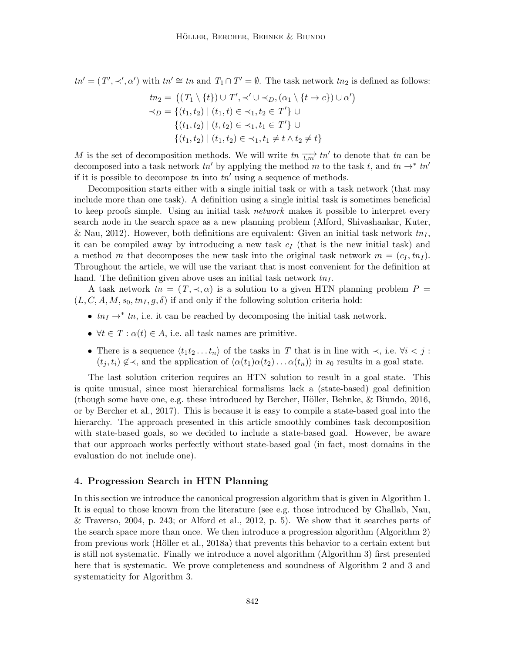$tn' = (T', \prec', \alpha')$  with  $tn' \cong tn$  and  $T_1 \cap T' = \emptyset$ . The task network  $tn_2$  is defined as follows:

$$
tn_2 = ((T_1 \setminus \{t\}) \cup T', \prec' \cup \prec_D, (\alpha_1 \setminus \{t \mapsto c\}) \cup \alpha')
$$
  
\n
$$
\prec_D = \{(t_1, t_2) \mid (t_1, t) \in \prec_1, t_2 \in T'\} \cup
$$
  
\n
$$
\{(t_1, t_2) \mid (t, t_2) \in \prec_1, t_1 \in T'\} \cup
$$
  
\n
$$
\{(t_1, t_2) \mid (t_1, t_2) \in \prec_1, t_1 \neq t \land t_2 \neq t\}
$$

M is the set of decomposition methods. We will write  $tn \frac{1}{t,m'}$  to denote that tn can be decomposed into a task network  $tn'$  by applying the method m to the task t, and  $tn \rightarrow * tn'$ if it is possible to decompose  $tn$  into  $tn'$  using a sequence of methods.

Decomposition starts either with a single initial task or with a task network (that may include more than one task). A definition using a single initial task is sometimes beneficial to keep proofs simple. Using an initial task *network* makes it possible to interpret every search node in the search space as a new planning problem (Alford, Shivashankar, Kuter, & Nau, 2012). However, both definitions are equivalent: Given an initial task network  $tn<sub>I</sub>$ , it can be compiled away by introducing a new task  $c_I$  (that is the new initial task) and a method m that decomposes the new task into the original task network  $m = (c_I, tn_I)$ . Throughout the article, we will use the variant that is most convenient for the definition at hand. The definition given above uses an initial task network  $tn<sub>I</sub>$ .

A task network  $tn = (T, \prec, \alpha)$  is a solution to a given HTN planning problem  $P =$  $(L, C, A, M, s_0, tn_I, g, \delta)$  if and only if the following solution criteria hold:

- $tn_I \rightarrow^* tn$ , i.e. it can be reached by decomposing the initial task network.
- $\forall t \in T : \alpha(t) \in A$ , i.e. all task names are primitive.
- There is a sequence  $\langle t_1t_2 \ldots t_n \rangle$  of the tasks in T that is in line with  $\prec$ , i.e.  $\forall i < j$ :  $(t_i, t_i) \notin \prec$ , and the application of  $\langle \alpha(t_1)\alpha(t_2)\dots \alpha(t_n)\rangle$  in  $s_0$  results in a goal state.

The last solution criterion requires an HTN solution to result in a goal state. This is quite unusual, since most hierarchical formalisms lack a (state-based) goal definition (though some have one, e.g. these introduced by Bercher, Höller, Behnke,  $\&$  Biundo, 2016, or by Bercher et al., 2017). This is because it is easy to compile a state-based goal into the hierarchy. The approach presented in this article smoothly combines task decomposition with state-based goals, so we decided to include a state-based goal. However, be aware that our approach works perfectly without state-based goal (in fact, most domains in the evaluation do not include one).

# 4. Progression Search in HTN Planning

In this section we introduce the canonical progression algorithm that is given in Algorithm 1. It is equal to those known from the literature (see e.g. those introduced by Ghallab, Nau,  $\&$  Traverso, 2004, p. 243; or Alford et al., 2012, p. 5). We show that it searches parts of the search space more than once. We then introduce a progression algorithm (Algorithm 2) from previous work (Höller et al., 2018a) that prevents this behavior to a certain extent but is still not systematic. Finally we introduce a novel algorithm (Algorithm 3) first presented here that is systematic. We prove completeness and soundness of Algorithm 2 and 3 and systematicity for Algorithm 3.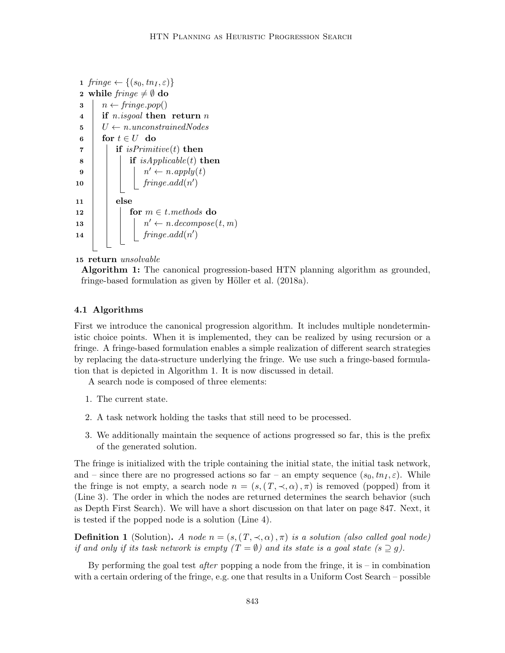```
1 fringe \leftarrow \{(s_0, tn_I, \varepsilon)\}\2 while \text{fringe} \neq \emptyset do
  3 \mid n \leftarrow \text{fringe.pop}()4 if n.isgoal then return n
  5 \mid U \leftarrow n. unconstrainedNodes6 for t \in U do
  \tau | if is Primitive(t) then
  \bf{8} | | if isApplicable(t) then
  9 \vert \vert \vert \vert \vert \vert \vertn' \leftarrow n.appendy(t)\begin{array}{|c|c|c|c|c|}\n\hline\n\text{10} & & \text{fringe.add}(n')\n\end{array}11 else
12 | | for m \in t. methods do
13 n
                                     n' \leftarrow n-decompose(t, m)\begin{array}{|c|c|c|c|}\n\hline\n\textbf{14} & \textbf{}\n\end{array} \begin{array}{|c|c|c|}\n\hline\n\textbf{15} & \textbf{16} & \textbf{17} & \textbf{18} & \textbf{18} & \textbf{19} & \textbf{10} & \textbf{10} & \textbf{10} & \textbf{10} & \textbf{10} & \textbf{10} & \textbf{10} & \textbf{10} & \textbf{10} & \textbf{10} & \textbf{10} & \textbf{10} & \textbf{10} & \textbf{10} & \textbf
```
### 15 return unsolvable

Algorithm 1: The canonical progression-based HTN planning algorithm as grounded, fringe-based formulation as given by Höller et al.  $(2018a)$ .

### 4.1 Algorithms

First we introduce the canonical progression algorithm. It includes multiple nondeterministic choice points. When it is implemented, they can be realized by using recursion or a fringe. A fringe-based formulation enables a simple realization of different search strategies by replacing the data-structure underlying the fringe. We use such a fringe-based formulation that is depicted in Algorithm 1. It is now discussed in detail.

A search node is composed of three elements:

- 1. The current state.
- 2. A task network holding the tasks that still need to be processed.
- 3. We additionally maintain the sequence of actions progressed so far, this is the prefix of the generated solution.

The fringe is initialized with the triple containing the initial state, the initial task network, and – since there are no progressed actions so far – an empty sequence  $(s_0, tn_1, \varepsilon)$ . While the fringe is not empty, a search node  $n = (s,(T,\prec,\alpha),\pi)$  is removed (popped) from it (Line 3). The order in which the nodes are returned determines the search behavior (such as Depth First Search). We will have a short discussion on that later on page 847. Next, it is tested if the popped node is a solution (Line 4).

**Definition 1** (Solution). A node  $n = (s,(T,\prec,\alpha),\pi)$  is a solution (also called goal node) if and only if its task network is empty  $(T = \emptyset)$  and its state is a goal state  $(s \supseteq g)$ .

By performing the goal test *after* popping a node from the fringe, it is – in combination with a certain ordering of the fringe, e.g. one that results in a Uniform Cost Search – possible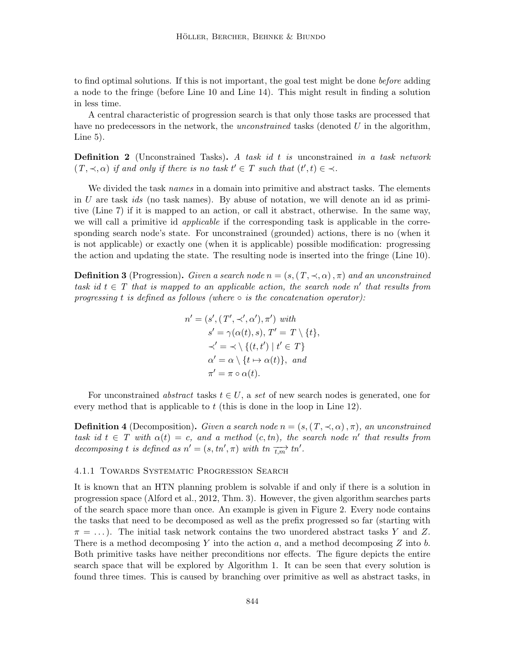to find optimal solutions. If this is not important, the goal test might be done before adding a node to the fringe (before Line 10 and Line 14). This might result in finding a solution in less time.

A central characteristic of progression search is that only those tasks are processed that have no predecessors in the network, the *unconstrained* tasks (denoted U in the algorithm, Line 5).

**Definition 2** (Unconstrained Tasks). A task id t is unconstrained in a task network  $(T, \prec, \alpha)$  if and only if there is no task  $t' \in T$  such that  $(t', t) \in \prec$ .

We divided the task *names* in a domain into primitive and abstract tasks. The elements in U are task ids (no task names). By abuse of notation, we will denote an id as primitive (Line 7) if it is mapped to an action, or call it abstract, otherwise. In the same way, we will call a primitive id *applicable* if the corresponding task is applicable in the corresponding search node's state. For unconstrained (grounded) actions, there is no (when it is not applicable) or exactly one (when it is applicable) possible modification: progressing the action and updating the state. The resulting node is inserted into the fringe (Line 10).

**Definition 3** (Progression). Given a search node  $n = (s,(T,\prec,\alpha),\pi)$  and an unconstrained task id  $t \in T$  that is mapped to an applicable action, the search node n' that results from progressing t is defined as follows (where  $\circ$  is the concatenation operator):

> $n' = (s', (T', \prec', \alpha'), \pi')$  with  $s' = \gamma(\alpha(t), s), T' = T \setminus \{t\},$  $\prec' = \prec \setminus \{ (t, t') \mid t' \in T \}$  $\alpha' = \alpha \setminus \{t \mapsto \alpha(t)\}, \text{ and}$  $\pi' = \pi \circ \alpha(t).$

For unconstrained abstract tasks  $t \in U$ , a set of new search nodes is generated, one for every method that is applicable to  $t$  (this is done in the loop in Line 12).

**Definition 4** (Decomposition). Given a search node  $n = (s,(T,\prec,\alpha),\pi)$ , an unconstrained task id  $t \in T$  with  $\alpha(t) = c$ , and a method  $(c, tn)$ , the search node n' that results from decomposing t is defined as  $n' = (s, tn', \pi)$  with  $tn \overrightarrow{t,m'}$  tn'.

### 4.1.1 Towards Systematic Progression Search

It is known that an HTN planning problem is solvable if and only if there is a solution in progression space (Alford et al., 2012, Thm. 3). However, the given algorithm searches parts of the search space more than once. An example is given in Figure 2. Every node contains the tasks that need to be decomposed as well as the prefix progressed so far (starting with  $\pi = \ldots$ ). The initial task network contains the two unordered abstract tasks Y and Z. There is a method decomposing Y into the action  $a$ , and a method decomposing Z into  $b$ . Both primitive tasks have neither preconditions nor effects. The figure depicts the entire search space that will be explored by Algorithm 1. It can be seen that every solution is found three times. This is caused by branching over primitive as well as abstract tasks, in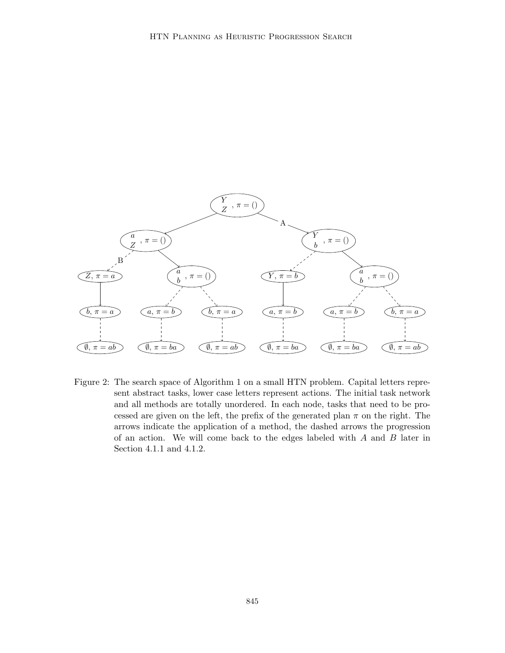

Figure 2: The search space of Algorithm 1 on a small HTN problem. Capital letters represent abstract tasks, lower case letters represent actions. The initial task network and all methods are totally unordered. In each node, tasks that need to be processed are given on the left, the prefix of the generated plan  $\pi$  on the right. The arrows indicate the application of a method, the dashed arrows the progression of an action. We will come back to the edges labeled with  $A$  and  $B$  later in Section 4.1.1 and 4.1.2.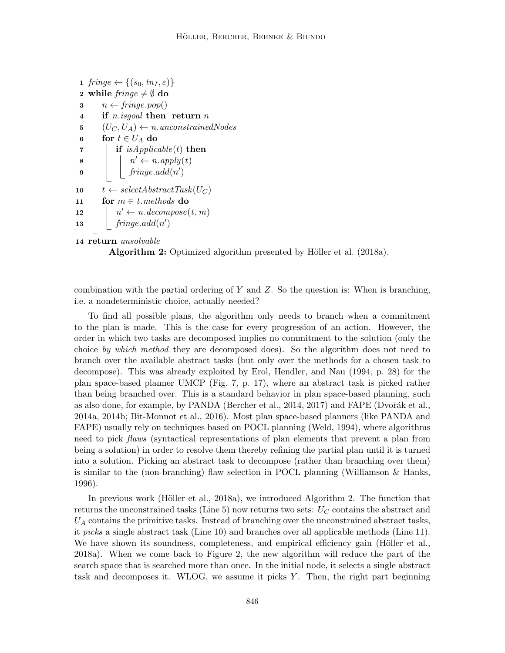```
1 fringe \leftarrow \{(s_0, tn_I, \varepsilon)\}\2 while \text{fringe} \neq \emptyset do
 3 \mid n \leftarrow \text{fringe.pop}()4 if n.isgoal then return n
 5 (U_C, U_A) \leftarrow n. unconstrainedNodes6 for t \in U_A do
 \tau | if is Applicable(t) then
 \mathbf{s} | | | nn' \leftarrow n.appendy(t)9 \mid \cdot \cdot \mid fringe.add(n')
10 t \leftarrow selectAbstractTask(U_C)11 for m \in t. methods do
12
            n' \leftarrow n-decompose(t, m)13 \int fringe.add(n')
```

```
14 return unsolvable
```
**Algorithm 2:** Optimized algorithm presented by Höller et al.  $(2018a)$ .

combination with the partial ordering of  $Y$  and  $Z$ . So the question is: When is branching, i.e. a nondeterministic choice, actually needed?

To find all possible plans, the algorithm only needs to branch when a commitment to the plan is made. This is the case for every progression of an action. However, the order in which two tasks are decomposed implies no commitment to the solution (only the choice by which method they are decomposed does). So the algorithm does not need to branch over the available abstract tasks (but only over the methods for a chosen task to decompose). This was already exploited by Erol, Hendler, and Nau (1994, p. 28) for the plan space-based planner UMCP (Fig. 7, p. 17), where an abstract task is picked rather than being branched over. This is a standard behavior in plan space-based planning, such as also done, for example, by PANDA (Bercher et al.,  $2014$ ,  $2017$ ) and FAPE (Dvořák et al., 2014a, 2014b; Bit-Monnot et al., 2016). Most plan space-based planners (like PANDA and FAPE) usually rely on techniques based on POCL planning (Weld, 1994), where algorithms need to pick flaws (syntactical representations of plan elements that prevent a plan from being a solution) in order to resolve them thereby refining the partial plan until it is turned into a solution. Picking an abstract task to decompose (rather than branching over them) is similar to the (non-branching) flaw selection in POCL planning (Williamson & Hanks, 1996).

In previous work (Höller et al., 2018a), we introduced Algorithm 2. The function that returns the unconstrained tasks (Line 5) now returns two sets:  $U_C$  contains the abstract and  $U_A$  contains the primitive tasks. Instead of branching over the unconstrained abstract tasks, it picks a single abstract task (Line 10) and branches over all applicable methods (Line 11). We have shown its soundness, completeness, and empirical efficiency gain (Höller et al., 2018a). When we come back to Figure 2, the new algorithm will reduce the part of the search space that is searched more than once. In the initial node, it selects a single abstract task and decomposes it. WLOG, we assume it picks  $Y$ . Then, the right part beginning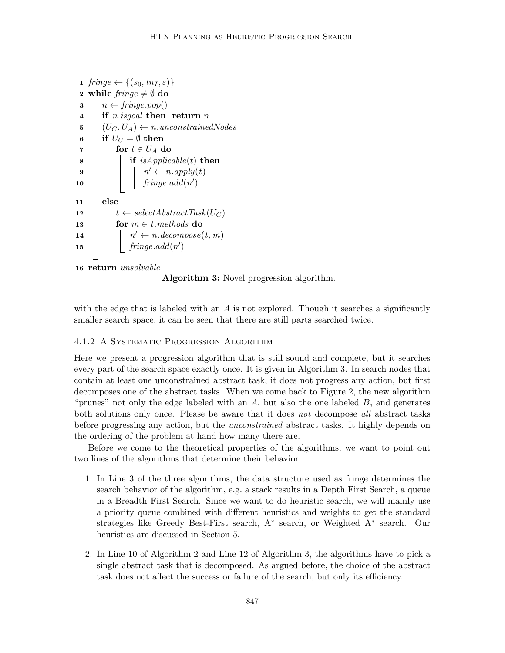```
1 fringe \leftarrow \{(s_0, tn_I, \varepsilon)\}\2 while fringe \neq \emptyset do
 3 \mid n \leftarrow fringe.pop()4 if n.isgoal then return n
 5 (U_C, U_A) \leftarrow n. unconstrainedNodes6 if U_C = \emptyset then
 7 | for t \in U_A do
 \bf{8} | | if isApplicable(t) then
 9 \vert \vert \vert \vert \vert \vert \vertn' \leftarrow n.appendy(t)\begin{array}{|c|c|c|c|c|}\n\hline\n\text{10} & & \text{fringe.add}(n')\n\end{array}11 else
12 t \leftarrow selectAbstractTask(U_C)13 for m \in t. methods do
\begin{array}{c|c|c|c} \hline \textbf{14} & & n' \leftarrow n-decompose(t, m) \\\hline \end{array}15 \int fringe.add(n')
```

```
16 return unsolvable
```
Algorithm 3: Novel progression algorithm.

with the edge that is labeled with an  $A$  is not explored. Though it searches a significantly smaller search space, it can be seen that there are still parts searched twice.

# 4.1.2 A Systematic Progression Algorithm

Here we present a progression algorithm that is still sound and complete, but it searches every part of the search space exactly once. It is given in Algorithm 3. In search nodes that contain at least one unconstrained abstract task, it does not progress any action, but first decomposes one of the abstract tasks. When we come back to Figure 2, the new algorithm "prunes" not only the edge labeled with an  $A$ , but also the one labeled  $B$ , and generates both solutions only once. Please be aware that it does not decompose all abstract tasks before progressing any action, but the *unconstrained* abstract tasks. It highly depends on the ordering of the problem at hand how many there are.

Before we come to the theoretical properties of the algorithms, we want to point out two lines of the algorithms that determine their behavior:

- 1. In Line 3 of the three algorithms, the data structure used as fringe determines the search behavior of the algorithm, e.g. a stack results in a Depth First Search, a queue in a Breadth First Search. Since we want to do heuristic search, we will mainly use a priority queue combined with different heuristics and weights to get the standard strategies like Greedy Best-First search, A<sup>∗</sup> search, or Weighted A<sup>∗</sup> search. Our heuristics are discussed in Section 5.
- 2. In Line 10 of Algorithm 2 and Line 12 of Algorithm 3, the algorithms have to pick a single abstract task that is decomposed. As argued before, the choice of the abstract task does not affect the success or failure of the search, but only its efficiency.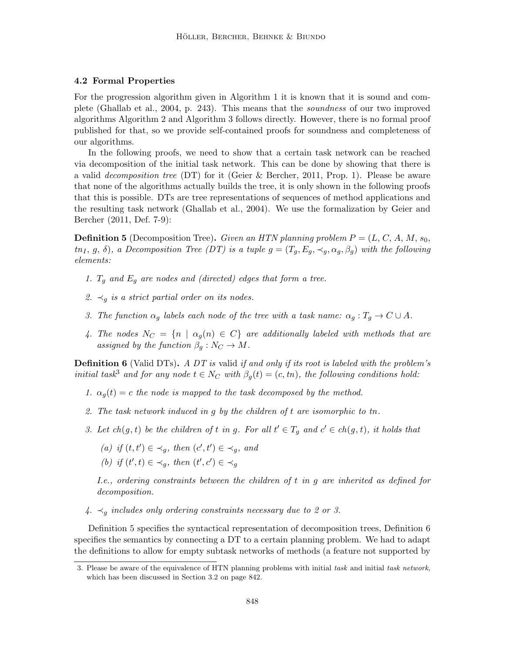# 4.2 Formal Properties

For the progression algorithm given in Algorithm 1 it is known that it is sound and complete (Ghallab et al., 2004, p. 243). This means that the soundness of our two improved algorithms Algorithm 2 and Algorithm 3 follows directly. However, there is no formal proof published for that, so we provide self-contained proofs for soundness and completeness of our algorithms.

In the following proofs, we need to show that a certain task network can be reached via decomposition of the initial task network. This can be done by showing that there is a valid decomposition tree (DT) for it (Geier & Bercher, 2011, Prop. 1). Please be aware that none of the algorithms actually builds the tree, it is only shown in the following proofs that this is possible. DTs are tree representations of sequences of method applications and the resulting task network (Ghallab et al., 2004). We use the formalization by Geier and Bercher (2011, Def. 7-9):

**Definition 5** (Decomposition Tree). Given an HTN planning problem  $P = (L, C, A, M, s_0,$  $t n_I, g, \delta$ , a Decomposition Tree (DT) is a tuple  $g = (T_q, E_q, \prec_q, \alpha_q, \beta_q)$  with the following elements:

- 1.  $T_g$  and  $E_g$  are nodes and (directed) edges that form a tree.
- 2.  $\prec_g$  is a strict partial order on its nodes.
- 3. The function  $\alpha_g$  labels each node of the tree with a task name:  $\alpha_g : T_g \to C \cup A$ .
- 4. The nodes  $N_C = \{n \mid \alpha_g(n) \in C\}$  are additionally labeled with methods that are assigned by the function  $\beta_q : N_C \to M$ .

**Definition 6** (Valid DTs). A DT is valid if and only if its root is labeled with the problem's initial task<sup>3</sup> and for any node  $t \in N_C$  with  $\beta_q(t) = (c, tn)$ , the following conditions hold:

- 1.  $\alpha_q(t) = c$  the node is mapped to the task decomposed by the method.
- 2. The task network induced in  $g$  by the children of  $t$  are isomorphic to  $t$ n.
- 3. Let  $ch(g, t)$  be the children of t in g. For all  $t' \in T_g$  and  $c' \in ch(g, t)$ , it holds that
	- (a) if  $(t, t') \in \prec_g$ , then  $(c', t') \in \prec_g$ , and
	- (b) if  $(t',t) \in \prec_g$ , then  $(t',c') \in \prec_g$

I.e., ordering constraints between the children of  $t$  in  $g$  are inherited as defined for decomposition.

 $4. \prec_q$  includes only ordering constraints necessary due to 2 or 3.

Definition 5 specifies the syntactical representation of decomposition trees, Definition 6 specifies the semantics by connecting a DT to a certain planning problem. We had to adapt the definitions to allow for empty subtask networks of methods (a feature not supported by

<sup>3.</sup> Please be aware of the equivalence of HTN planning problems with initial task and initial task network, which has been discussed in Section 3.2 on page 842.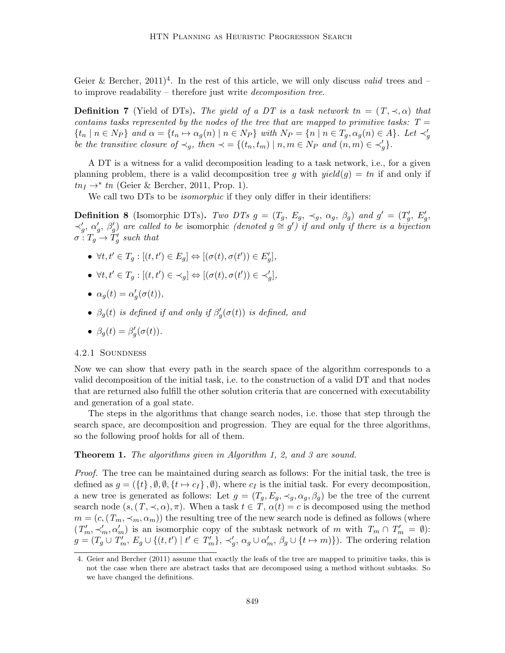Geier & Bercher,  $2011)^4$ . In the rest of this article, we will only discuss valid trees and – to improve readability – therefore just write decomposition tree.

**Definition 7** (Yield of DTs). The yield of a DT is a task network  $tn = (T, \prec, \alpha)$  that contains tasks represented by the nodes of the tree that are mapped to primitive tasks:  $T =$  $\{t_n \mid n \in N_P\}$  and  $\alpha = \{t_n \mapsto \alpha_g(n) \mid n \in N_P\}$  with  $N_P = \{n \mid n \in T_g, \alpha_g(n) \in A\}$ . Let  $\prec_g'$ be the transitive closure of  $\prec_g$ , then  $\prec = \{(t_n, t_m) \mid n, m \in N_P \text{ and } (n, m) \in \prec'_g\}.$ 

A DT is a witness for a valid decomposition leading to a task network, i.e., for a given planning problem, there is a valid decomposition tree g with  $yield(g) = tn$  if and only if  $tn_I \rightarrow^* tn$  (Geier & Bercher, 2011, Prop. 1).

We call two DTs to be *isomorphic* if they only differ in their identifiers:

**Definition 8** (Isomorphic DTs). Two DTs  $g = (T_g, E_g, \prec_g, \alpha_g, \beta_g)$  and  $g' = (T'_g, E'_g, \gamma_g, \beta_g)$  $\prec'_g$ , α'<sub>g</sub>, β'<sub>g</sub>) are called to be isomorphic (denoted  $g \cong g'$ ) if and only if there is a bijection  $\sigma: T_g \to T'_g$  such that

- $\forall t, t' \in T_g : [(t, t') \in E_g] \Leftrightarrow [(\sigma(t), \sigma(t')) \in E'_g],$
- $\forall t, t' \in T_g : [(t, t') \in \prec_g] \Leftrightarrow [(\sigma(t), \sigma(t')) \in \prec'_g],$
- $\alpha_g(t) = \alpha'_g(\sigma(t)),$
- $\beta_g(t)$  is defined if and only if  $\beta'_g(\sigma(t))$  is defined, and

• 
$$
\beta_g(t) = \beta'_g(\sigma(t)).
$$

## 4.2.1 Soundness

Now we can show that every path in the search space of the algorithm corresponds to a valid decomposition of the initial task, i.e. to the construction of a valid DT and that nodes that are returned also fulfill the other solution criteria that are concerned with executability and generation of a goal state.

The steps in the algorithms that change search nodes, i.e. those that step through the search space, are decomposition and progression. They are equal for the three algorithms, so the following proof holds for all of them.

## **Theorem 1.** The algorithms given in Algorithm 1, 2, and 3 are sound.

Proof. The tree can be maintained during search as follows: For the initial task, the tree is defined as  $g = (\{t\}, \emptyset, \emptyset, \{t \mapsto c_I\}, \emptyset)$ , where  $c_I$  is the initial task. For every decomposition, a new tree is generated as follows: Let  $g = (T_g, E_g, \prec_g, \alpha_g, \beta_g)$  be the tree of the current search node  $(s,(T,\prec,\alpha),\pi)$ . When a task  $t \in T$ ,  $\alpha(t) = c$  is decomposed using the method  $m = (c, (T_m, \prec_m, \alpha_m))$  the resulting tree of the new search node is defined as follows (where  $(T'_m, \prec'_m, \alpha'_m)$  is an isomorphic copy of the subtask network of m with  $T_m \cap T'_m = \emptyset$ :  $g = (T_g \cup T'_m, E_g \cup \{(t, t') \mid t' \in T'_m\}, \prec'_g, \alpha_g \cup \alpha'_m, \beta_g \cup \{t \mapsto m\})\)$ . The ordering relation

<sup>4.</sup> Geier and Bercher (2011) assume that exactly the leafs of the tree are mapped to primitive tasks, this is not the case when there are abstract tasks that are decomposed using a method without subtasks. So we have changed the definitions.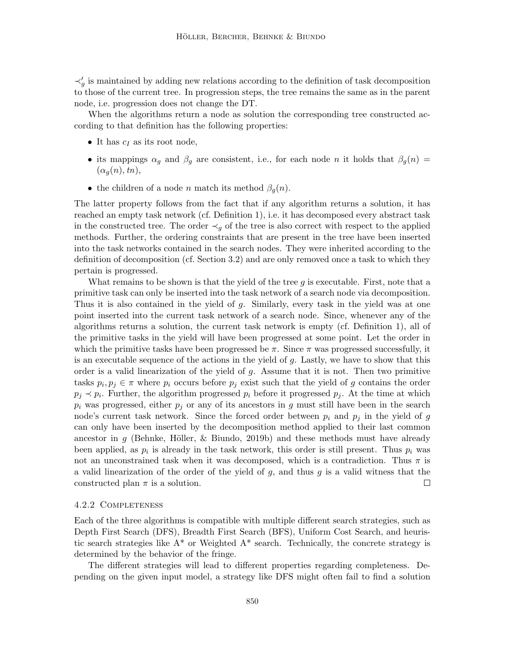$\prec'_{g}$  is maintained by adding new relations according to the definition of task decomposition to those of the current tree. In progression steps, the tree remains the same as in the parent node, i.e. progression does not change the DT.

When the algorithms return a node as solution the corresponding tree constructed according to that definition has the following properties:

- It has  $c_I$  as its root node,
- its mappings  $\alpha_g$  and  $\beta_g$  are consistent, i.e., for each node n it holds that  $\beta_g(n)$  =  $(\alpha_q(n), tn),$
- the children of a node *n* match its method  $\beta_q(n)$ .

The latter property follows from the fact that if any algorithm returns a solution, it has reached an empty task network (cf. Definition 1), i.e. it has decomposed every abstract task in the constructed tree. The order  $\prec_g$  of the tree is also correct with respect to the applied methods. Further, the ordering constraints that are present in the tree have been inserted into the task networks contained in the search nodes. They were inherited according to the definition of decomposition (cf. Section 3.2) and are only removed once a task to which they pertain is progressed.

What remains to be shown is that the yield of the tree  $q$  is executable. First, note that a primitive task can only be inserted into the task network of a search node via decomposition. Thus it is also contained in the yield of g. Similarly, every task in the yield was at one point inserted into the current task network of a search node. Since, whenever any of the algorithms returns a solution, the current task network is empty (cf. Definition 1), all of the primitive tasks in the yield will have been progressed at some point. Let the order in which the primitive tasks have been progressed be  $\pi$ . Since  $\pi$  was progressed successfully, it is an executable sequence of the actions in the yield of g. Lastly, we have to show that this order is a valid linearization of the yield of  $g$ . Assume that it is not. Then two primitive tasks  $p_i, p_j \in \pi$  where  $p_i$  occurs before  $p_j$  exist such that the yield of g contains the order  $p_j \prec p_i$ . Further, the algorithm progressed  $p_i$  before it progressed  $p_j$ . At the time at which  $p_i$  was progressed, either  $p_j$  or any of its ancestors in g must still have been in the search node's current task network. Since the forced order between  $p_i$  and  $p_j$  in the yield of g can only have been inserted by the decomposition method applied to their last common ancestor in g (Behnke, Höller, & Biundo, 2019b) and these methods must have already been applied, as  $p_i$  is already in the task network, this order is still present. Thus  $p_i$  was not an unconstrained task when it was decomposed, which is a contradiction. Thus  $\pi$  is a valid linearization of the order of the yield of  $g$ , and thus  $g$  is a valid witness that the constructed plan  $\pi$  is a solution.  $\Box$ 

### 4.2.2 Completeness

Each of the three algorithms is compatible with multiple different search strategies, such as Depth First Search (DFS), Breadth First Search (BFS), Uniform Cost Search, and heuristic search strategies like  $A^*$  or Weighted  $A^*$  search. Technically, the concrete strategy is determined by the behavior of the fringe.

The different strategies will lead to different properties regarding completeness. Depending on the given input model, a strategy like DFS might often fail to find a solution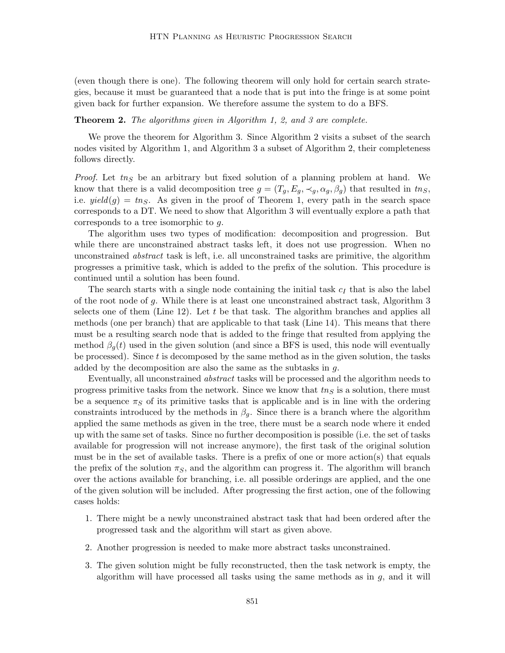(even though there is one). The following theorem will only hold for certain search strategies, because it must be guaranteed that a node that is put into the fringe is at some point given back for further expansion. We therefore assume the system to do a BFS.

# **Theorem 2.** The algorithms given in Algorithm 1, 2, and 3 are complete.

We prove the theorem for Algorithm 3. Since Algorithm 2 visits a subset of the search nodes visited by Algorithm 1, and Algorithm 3 a subset of Algorithm 2, their completeness follows directly.

*Proof.* Let  $t_n$  be an arbitrary but fixed solution of a planning problem at hand. We know that there is a valid decomposition tree  $g = (T_g, E_g, \prec_g, \alpha_g, \beta_g)$  that resulted in  $t n_S$ , i.e.  $yield(g) = tn_S$ . As given in the proof of Theorem 1, every path in the search space corresponds to a DT. We need to show that Algorithm 3 will eventually explore a path that corresponds to a tree isomorphic to g.

The algorithm uses two types of modification: decomposition and progression. But while there are unconstrained abstract tasks left, it does not use progression. When no unconstrained abstract task is left, i.e. all unconstrained tasks are primitive, the algorithm progresses a primitive task, which is added to the prefix of the solution. This procedure is continued until a solution has been found.

The search starts with a single node containing the initial task  $c_I$  that is also the label of the root node of g. While there is at least one unconstrained abstract task, Algorithm 3 selects one of them (Line 12). Let  $t$  be that task. The algorithm branches and applies all methods (one per branch) that are applicable to that task (Line 14). This means that there must be a resulting search node that is added to the fringe that resulted from applying the method  $\beta_q(t)$  used in the given solution (and since a BFS is used, this node will eventually be processed). Since  $t$  is decomposed by the same method as in the given solution, the tasks added by the decomposition are also the same as the subtasks in g.

Eventually, all unconstrained abstract tasks will be processed and the algorithm needs to progress primitive tasks from the network. Since we know that  $tn<sub>S</sub>$  is a solution, there must be a sequence  $\pi_S$  of its primitive tasks that is applicable and is in line with the ordering constraints introduced by the methods in  $\beta_g$ . Since there is a branch where the algorithm applied the same methods as given in the tree, there must be a search node where it ended up with the same set of tasks. Since no further decomposition is possible (i.e. the set of tasks available for progression will not increase anymore), the first task of the original solution must be in the set of available tasks. There is a prefix of one or more action(s) that equals the prefix of the solution  $\pi_S$ , and the algorithm can progress it. The algorithm will branch over the actions available for branching, i.e. all possible orderings are applied, and the one of the given solution will be included. After progressing the first action, one of the following cases holds:

- 1. There might be a newly unconstrained abstract task that had been ordered after the progressed task and the algorithm will start as given above.
- 2. Another progression is needed to make more abstract tasks unconstrained.
- 3. The given solution might be fully reconstructed, then the task network is empty, the algorithm will have processed all tasks using the same methods as in  $g$ , and it will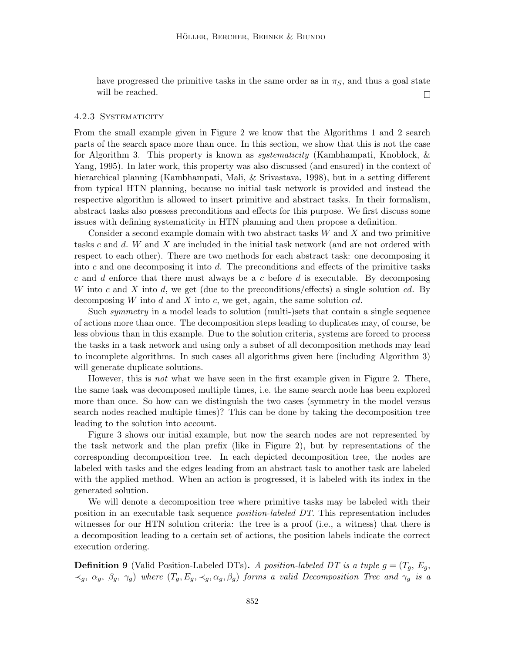have progressed the primitive tasks in the same order as in  $\pi<sub>S</sub>$ , and thus a goal state will be reached.  $\Box$ 

#### 4.2.3 Systematicity

From the small example given in Figure 2 we know that the Algorithms 1 and 2 search parts of the search space more than once. In this section, we show that this is not the case for Algorithm 3. This property is known as systematicity (Kambhampati, Knoblock, & Yang, 1995). In later work, this property was also discussed (and ensured) in the context of hierarchical planning (Kambhampati, Mali, & Srivastava, 1998), but in a setting different from typical HTN planning, because no initial task network is provided and instead the respective algorithm is allowed to insert primitive and abstract tasks. In their formalism, abstract tasks also possess preconditions and effects for this purpose. We first discuss some issues with defining systematicity in HTN planning and then propose a definition.

Consider a second example domain with two abstract tasks  $W$  and  $X$  and two primitive tasks c and d. W and X are included in the initial task network (and are not ordered with respect to each other). There are two methods for each abstract task: one decomposing it into c and one decomposing it into  $d$ . The preconditions and effects of the primitive tasks c and d enforce that there must always be a c before d is executable. By decomposing W into c and X into d, we get (due to the preconditions/effects) a single solution cd. By decomposing W into d and X into c, we get, again, the same solution  $cd$ .

Such symmetry in a model leads to solution (multi-)sets that contain a single sequence of actions more than once. The decomposition steps leading to duplicates may, of course, be less obvious than in this example. Due to the solution criteria, systems are forced to process the tasks in a task network and using only a subset of all decomposition methods may lead to incomplete algorithms. In such cases all algorithms given here (including Algorithm 3) will generate duplicate solutions.

However, this is *not* what we have seen in the first example given in Figure 2. There, the same task was decomposed multiple times, i.e. the same search node has been explored more than once. So how can we distinguish the two cases (symmetry in the model versus search nodes reached multiple times)? This can be done by taking the decomposition tree leading to the solution into account.

Figure 3 shows our initial example, but now the search nodes are not represented by the task network and the plan prefix (like in Figure 2), but by representations of the corresponding decomposition tree. In each depicted decomposition tree, the nodes are labeled with tasks and the edges leading from an abstract task to another task are labeled with the applied method. When an action is progressed, it is labeled with its index in the generated solution.

We will denote a decomposition tree where primitive tasks may be labeled with their position in an executable task sequence position-labeled DT. This representation includes witnesses for our HTN solution criteria: the tree is a proof (i.e., a witness) that there is a decomposition leading to a certain set of actions, the position labels indicate the correct execution ordering.

**Definition 9** (Valid Position-Labeled DTs). A position-labeled DT is a tuple  $g = (T_g, E_g, \ldots)$  $\prec_g$ ,  $\alpha_g$ ,  $\beta_g$ ,  $\gamma_g$ ) where  $(T_g, E_g, \prec_g, \alpha_g, \beta_g)$  forms a valid Decomposition Tree and  $\gamma_g$  is a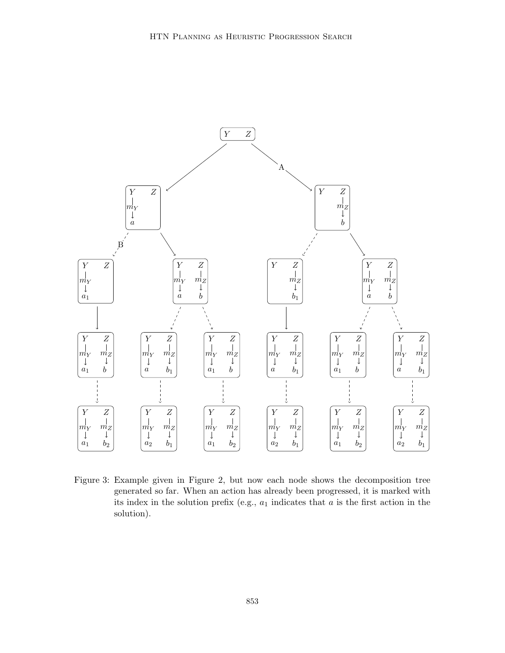

Figure 3: Example given in Figure 2, but now each node shows the decomposition tree generated so far. When an action has already been progressed, it is marked with its index in the solution prefix (e.g.,  $a_1$  indicates that  $a$  is the first action in the solution).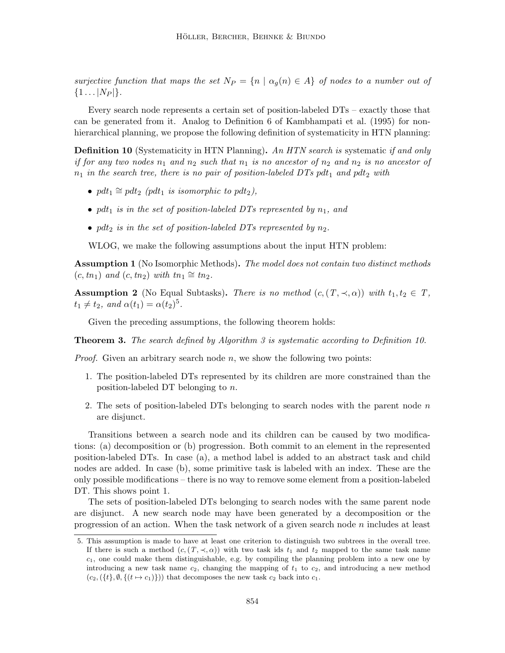surjective function that maps the set  $N_P = \{n \mid \alpha_q(n) \in A\}$  of nodes to a number out of  $\{1 \dots |N_P|\}.$ 

Every search node represents a certain set of position-labeled DTs – exactly those that can be generated from it. Analog to Definition 6 of Kambhampati et al. (1995) for nonhierarchical planning, we propose the following definition of systematicity in HTN planning:

**Definition 10** (Systematicity in HTN Planning). An HTN search is systematic if and only if for any two nodes  $n_1$  and  $n_2$  such that  $n_1$  is no ancestor of  $n_2$  and  $n_2$  is no ancestor of  $n_1$  in the search tree, there is no pair of position-labeled DTs pdt<sub>1</sub> and pdt<sub>2</sub> with

- pdt<sub>1</sub>  $\cong$  pdt<sub>2</sub> (pdt<sub>1</sub> is isomorphic to pdt<sub>2</sub>),
- pdt<sub>1</sub> is in the set of position-labeled DTs represented by  $n_1$ , and
- pdt<sub>2</sub> is in the set of position-labeled DTs represented by  $n_2$ .

WLOG, we make the following assumptions about the input HTN problem:

**Assumption 1** (No Isomorphic Methods). The model does not contain two distinct methods  $(c, tn_1)$  and  $(c, tn_2)$  with  $tn_1 \cong tn_2$ .

**Assumption 2** (No Equal Subtasks). There is no method  $(c, (T, \prec, \alpha))$  with  $t_1, t_2 \in T$ ,  $t_1 \neq t_2$ , and  $\alpha(t_1) = \alpha(t_2)^5$ .

Given the preceding assumptions, the following theorem holds:

**Theorem 3.** The search defined by Algorithm 3 is systematic according to Definition 10.

*Proof.* Given an arbitrary search node  $n$ , we show the following two points:

- 1. The position-labeled DTs represented by its children are more constrained than the position-labeled DT belonging to n.
- 2. The sets of position-labeled DTs belonging to search nodes with the parent node  $n$ are disjunct.

Transitions between a search node and its children can be caused by two modifications: (a) decomposition or (b) progression. Both commit to an element in the represented position-labeled DTs. In case (a), a method label is added to an abstract task and child nodes are added. In case (b), some primitive task is labeled with an index. These are the only possible modifications – there is no way to remove some element from a position-labeled DT. This shows point 1.

The sets of position-labeled DTs belonging to search nodes with the same parent node are disjunct. A new search node may have been generated by a decomposition or the progression of an action. When the task network of a given search node n includes at least

<sup>5.</sup> This assumption is made to have at least one criterion to distinguish two subtrees in the overall tree. If there is such a method  $(c, (T, \prec, \alpha))$  with two task ids  $t_1$  and  $t_2$  mapped to the same task name  $c_1$ , one could make them distinguishable, e.g. by compiling the planning problem into a new one by introducing a new task name  $c_2$ , changing the mapping of  $t_1$  to  $c_2$ , and introducing a new method  $(c_2, (\{t\}, \emptyset, \{(t \mapsto c_1)\}))$  that decomposes the new task  $c_2$  back into  $c_1$ .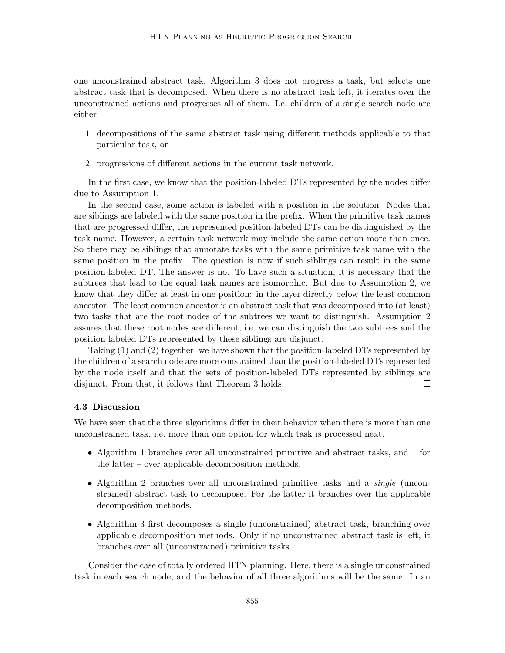one unconstrained abstract task, Algorithm 3 does not progress a task, but selects one abstract task that is decomposed. When there is no abstract task left, it iterates over the unconstrained actions and progresses all of them. I.e. children of a single search node are either

- 1. decompositions of the same abstract task using different methods applicable to that particular task, or
- 2. progressions of different actions in the current task network.

In the first case, we know that the position-labeled DTs represented by the nodes differ due to Assumption 1.

In the second case, some action is labeled with a position in the solution. Nodes that are siblings are labeled with the same position in the prefix. When the primitive task names that are progressed differ, the represented position-labeled DTs can be distinguished by the task name. However, a certain task network may include the same action more than once. So there may be siblings that annotate tasks with the same primitive task name with the same position in the prefix. The question is now if such siblings can result in the same position-labeled DT. The answer is no. To have such a situation, it is necessary that the subtrees that lead to the equal task names are isomorphic. But due to Assumption 2, we know that they differ at least in one position: in the layer directly below the least common ancestor. The least common ancestor is an abstract task that was decomposed into (at least) two tasks that are the root nodes of the subtrees we want to distinguish. Assumption 2 assures that these root nodes are different, i.e. we can distinguish the two subtrees and the position-labeled DTs represented by these siblings are disjunct.

Taking (1) and (2) together, we have shown that the position-labeled DTs represented by the children of a search node are more constrained than the position-labeled DTs represented by the node itself and that the sets of position-labeled DTs represented by siblings are disjunct. From that, it follows that Theorem 3 holds.  $\Box$ 

# 4.3 Discussion

We have seen that the three algorithms differ in their behavior when there is more than one unconstrained task, i.e. more than one option for which task is processed next.

- Algorithm 1 branches over all unconstrained primitive and abstract tasks, and for the latter – over applicable decomposition methods.
- Algorithm 2 branches over all unconstrained primitive tasks and a *single* (unconstrained) abstract task to decompose. For the latter it branches over the applicable decomposition methods.
- Algorithm 3 first decomposes a single (unconstrained) abstract task, branching over applicable decomposition methods. Only if no unconstrained abstract task is left, it branches over all (unconstrained) primitive tasks.

Consider the case of totally ordered HTN planning. Here, there is a single unconstrained task in each search node, and the behavior of all three algorithms will be the same. In an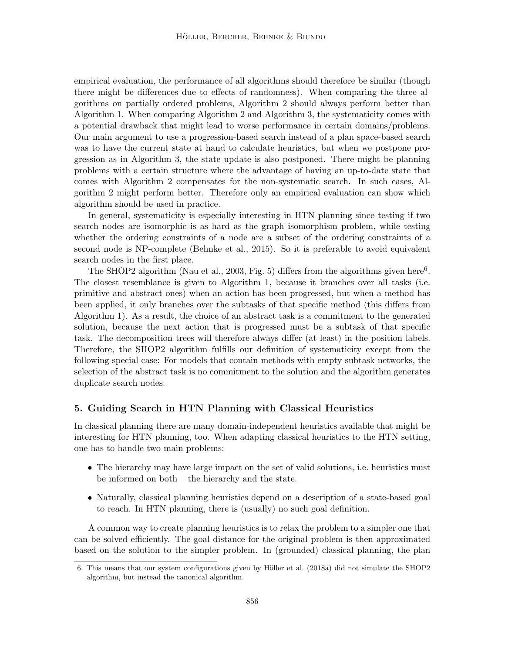empirical evaluation, the performance of all algorithms should therefore be similar (though there might be differences due to effects of randomness). When comparing the three algorithms on partially ordered problems, Algorithm 2 should always perform better than Algorithm 1. When comparing Algorithm 2 and Algorithm 3, the systematicity comes with a potential drawback that might lead to worse performance in certain domains/problems. Our main argument to use a progression-based search instead of a plan space-based search was to have the current state at hand to calculate heuristics, but when we postpone progression as in Algorithm 3, the state update is also postponed. There might be planning problems with a certain structure where the advantage of having an up-to-date state that comes with Algorithm 2 compensates for the non-systematic search. In such cases, Algorithm 2 might perform better. Therefore only an empirical evaluation can show which algorithm should be used in practice.

In general, systematicity is especially interesting in HTN planning since testing if two search nodes are isomorphic is as hard as the graph isomorphism problem, while testing whether the ordering constraints of a node are a subset of the ordering constraints of a second node is NP-complete (Behnke et al., 2015). So it is preferable to avoid equivalent search nodes in the first place.

The SHOP2 algorithm (Nau et al., 2003, Fig. 5) differs from the algorithms given here<sup>6</sup>. The closest resemblance is given to Algorithm 1, because it branches over all tasks (i.e. primitive and abstract ones) when an action has been progressed, but when a method has been applied, it only branches over the subtasks of that specific method (this differs from Algorithm 1). As a result, the choice of an abstract task is a commitment to the generated solution, because the next action that is progressed must be a subtask of that specific task. The decomposition trees will therefore always differ (at least) in the position labels. Therefore, the SHOP2 algorithm fulfills our definition of systematicity except from the following special case: For models that contain methods with empty subtask networks, the selection of the abstract task is no commitment to the solution and the algorithm generates duplicate search nodes.

# 5. Guiding Search in HTN Planning with Classical Heuristics

In classical planning there are many domain-independent heuristics available that might be interesting for HTN planning, too. When adapting classical heuristics to the HTN setting, one has to handle two main problems:

- The hierarchy may have large impact on the set of valid solutions, i.e. heuristics must be informed on both – the hierarchy and the state.
- Naturally, classical planning heuristics depend on a description of a state-based goal to reach. In HTN planning, there is (usually) no such goal definition.

A common way to create planning heuristics is to relax the problem to a simpler one that can be solved efficiently. The goal distance for the original problem is then approximated based on the solution to the simpler problem. In (grounded) classical planning, the plan

<sup>6.</sup> This means that our system configurations given by Höller et al. (2018a) did not simulate the SHOP2 algorithm, but instead the canonical algorithm.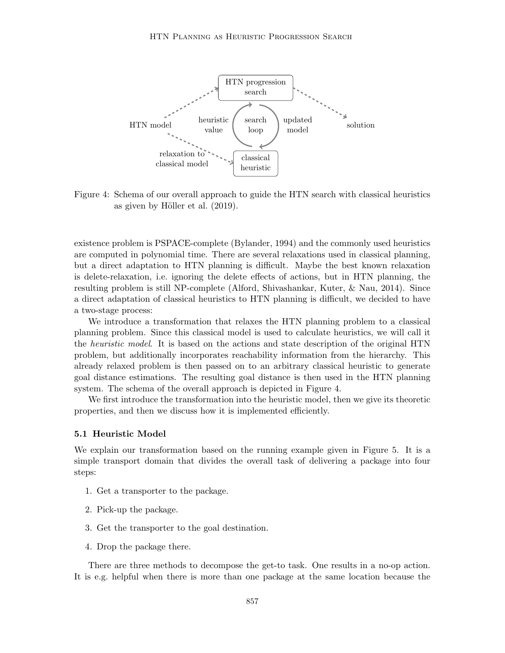

Figure 4: Schema of our overall approach to guide the HTN search with classical heuristics as given by Höller et al.  $(2019)$ .

existence problem is PSPACE-complete (Bylander, 1994) and the commonly used heuristics are computed in polynomial time. There are several relaxations used in classical planning, but a direct adaptation to HTN planning is difficult. Maybe the best known relaxation is delete-relaxation, i.e. ignoring the delete effects of actions, but in HTN planning, the resulting problem is still NP-complete (Alford, Shivashankar, Kuter, & Nau, 2014). Since a direct adaptation of classical heuristics to HTN planning is difficult, we decided to have a two-stage process:

We introduce a transformation that relaxes the HTN planning problem to a classical planning problem. Since this classical model is used to calculate heuristics, we will call it the *heuristic model*. It is based on the actions and state description of the original HTN problem, but additionally incorporates reachability information from the hierarchy. This already relaxed problem is then passed on to an arbitrary classical heuristic to generate goal distance estimations. The resulting goal distance is then used in the HTN planning system. The schema of the overall approach is depicted in Figure 4.

We first introduce the transformation into the heuristic model, then we give its theoretic properties, and then we discuss how it is implemented efficiently.

### 5.1 Heuristic Model

We explain our transformation based on the running example given in Figure 5. It is a simple transport domain that divides the overall task of delivering a package into four steps:

- 1. Get a transporter to the package.
- 2. Pick-up the package.
- 3. Get the transporter to the goal destination.
- 4. Drop the package there.

There are three methods to decompose the get-to task. One results in a no-op action. It is e.g. helpful when there is more than one package at the same location because the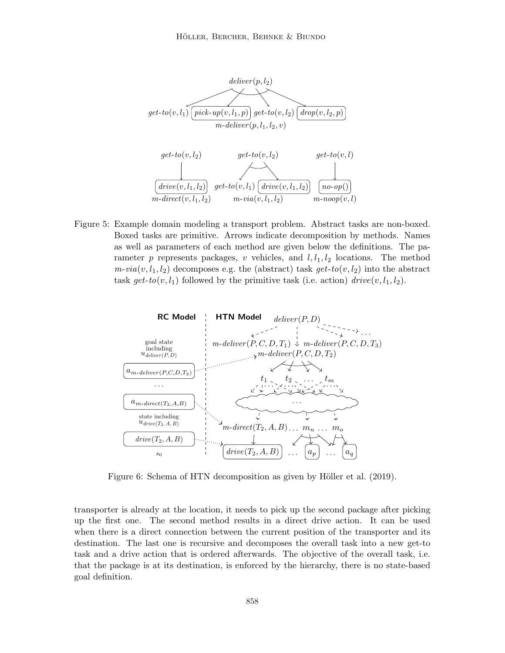

Figure 5: Example domain modeling a transport problem. Abstract tasks are non-boxed. Boxed tasks are primitive. Arrows indicate decomposition by methods. Names as well as parameters of each method are given below the definitions. The parameter p represents packages, v vehicles, and  $l, l_1, l_2$  locations. The method  $m\text{-}via(v, l_1, l_2)$  decomposes e.g. the (abstract) task  $get\text{-}to(v, l_2)$  into the abstract task get-to $(v, l_1)$  followed by the primitive task (i.e. action) drive $(v, l_1, l_2)$ .



Figure 6: Schema of HTN decomposition as given by Höller et al. (2019).

transporter is already at the location, it needs to pick up the second package after picking up the first one. The second method results in a direct drive action. It can be used when there is a direct connection between the current position of the transporter and its destination. The last one is recursive and decomposes the overall task into a new get-to task and a drive action that is ordered afterwards. The objective of the overall task, i.e. that the package is at its destination, is enforced by the hierarchy, there is no state-based goal definition.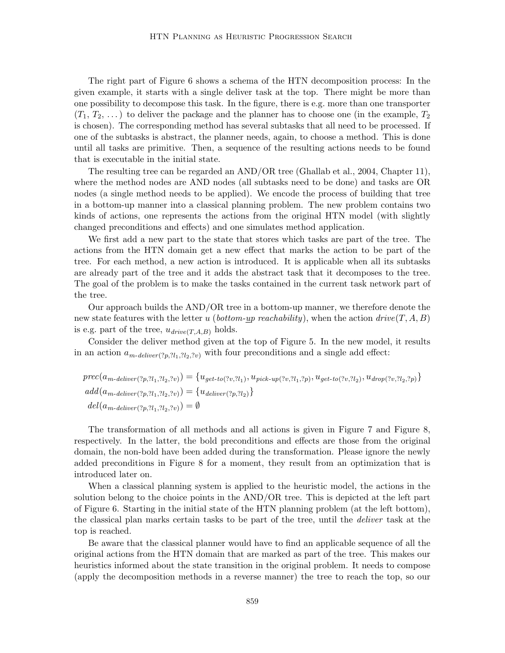The right part of Figure 6 shows a schema of the HTN decomposition process: In the given example, it starts with a single deliver task at the top. There might be more than one possibility to decompose this task. In the figure, there is e.g. more than one transporter  $(T_1, T_2, \ldots)$  to deliver the package and the planner has to choose one (in the example,  $T_2$ is chosen). The corresponding method has several subtasks that all need to be processed. If one of the subtasks is abstract, the planner needs, again, to choose a method. This is done until all tasks are primitive. Then, a sequence of the resulting actions needs to be found that is executable in the initial state.

The resulting tree can be regarded an AND/OR tree (Ghallab et al., 2004, Chapter 11), where the method nodes are AND nodes (all subtasks need to be done) and tasks are OR nodes (a single method needs to be applied). We encode the process of building that tree in a bottom-up manner into a classical planning problem. The new problem contains two kinds of actions, one represents the actions from the original HTN model (with slightly changed preconditions and effects) and one simulates method application.

We first add a new part to the state that stores which tasks are part of the tree. The actions from the HTN domain get a new effect that marks the action to be part of the tree. For each method, a new action is introduced. It is applicable when all its subtasks are already part of the tree and it adds the abstract task that it decomposes to the tree. The goal of the problem is to make the tasks contained in the current task network part of the tree.

Our approach builds the AND/OR tree in a bottom-up manner, we therefore denote the new state features with the letter u (bottom-up reachability), when the action drive(T, A, B) is e.g. part of the tree,  $u_{drive}(T,A,B)$  holds.

Consider the deliver method given at the top of Figure 5. In the new model, it results in an action  $a_{m\text{-}deliver(?p,?l_1,?l_2,?v)}$  with four preconditions and a single add effect:

$$
prec(a_{m\text{-}deliver}(?p,?l_1,?l_2,?v)) = \{u_{get\text{-}to}(?v,?l_1), u_{pick\text{-}up}(?v,?l_1,?p), u_{get\text{-}to}(?v,?l_2), u_{drop}(?v,?l_2,?p)\}
$$
  

$$
add(a_{m\text{-}deliver}(?p,?l_1,?l_2,?v)) = \{u_{deliver}(?p,?l_2)\}
$$
  

$$
del(a_{m\text{-}deliver}(?p,?l_1,?l_2,?v)) = \emptyset
$$

The transformation of all methods and all actions is given in Figure 7 and Figure 8, respectively. In the latter, the bold preconditions and effects are those from the original domain, the non-bold have been added during the transformation. Please ignore the newly added preconditions in Figure 8 for a moment, they result from an optimization that is introduced later on.

When a classical planning system is applied to the heuristic model, the actions in the solution belong to the choice points in the AND/OR tree. This is depicted at the left part of Figure 6. Starting in the initial state of the HTN planning problem (at the left bottom), the classical plan marks certain tasks to be part of the tree, until the deliver task at the top is reached.

Be aware that the classical planner would have to find an applicable sequence of all the original actions from the HTN domain that are marked as part of the tree. This makes our heuristics informed about the state transition in the original problem. It needs to compose (apply the decomposition methods in a reverse manner) the tree to reach the top, so our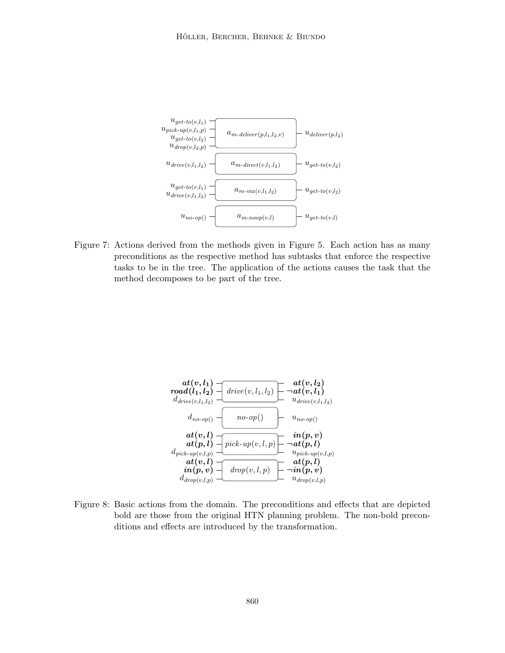

Figure 7: Actions derived from the methods given in Figure 5. Each action has as many preconditions as the respective method has subtasks that enforce the respective tasks to be in the tree. The application of the actions causes the task that the method decomposes to be part of the tree.



Figure 8: Basic actions from the domain. The preconditions and effects that are depicted bold are those from the original HTN planning problem. The non-bold preconditions and effects are introduced by the transformation.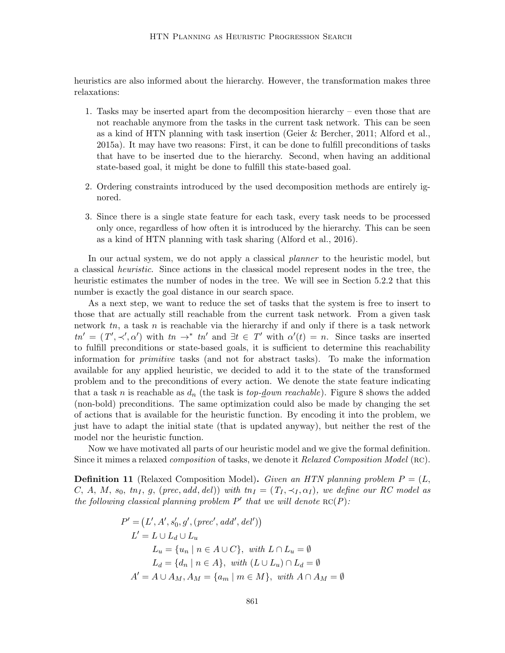heuristics are also informed about the hierarchy. However, the transformation makes three relaxations:

- 1. Tasks may be inserted apart from the decomposition hierarchy even those that are not reachable anymore from the tasks in the current task network. This can be seen as a kind of HTN planning with task insertion (Geier & Bercher, 2011; Alford et al., 2015a). It may have two reasons: First, it can be done to fulfill preconditions of tasks that have to be inserted due to the hierarchy. Second, when having an additional state-based goal, it might be done to fulfill this state-based goal.
- 2. Ordering constraints introduced by the used decomposition methods are entirely ignored.
- 3. Since there is a single state feature for each task, every task needs to be processed only once, regardless of how often it is introduced by the hierarchy. This can be seen as a kind of HTN planning with task sharing (Alford et al., 2016).

In our actual system, we do not apply a classical planner to the heuristic model, but a classical heuristic. Since actions in the classical model represent nodes in the tree, the heuristic estimates the number of nodes in the tree. We will see in Section 5.2.2 that this number is exactly the goal distance in our search space.

As a next step, we want to reduce the set of tasks that the system is free to insert to those that are actually still reachable from the current task network. From a given task network  $tn$ , a task n is reachable via the hierarchy if and only if there is a task network  $tn' = (T', \prec', \alpha')$  with  $tn \to^* t n'$  and  $\exists t \in T'$  with  $\alpha'(t) = n$ . Since tasks are inserted to fulfill preconditions or state-based goals, it is sufficient to determine this reachability information for primitive tasks (and not for abstract tasks). To make the information available for any applied heuristic, we decided to add it to the state of the transformed problem and to the preconditions of every action. We denote the state feature indicating that a task n is reachable as  $d_n$  (the task is top-down reachable). Figure 8 shows the added (non-bold) preconditions. The same optimization could also be made by changing the set of actions that is available for the heuristic function. By encoding it into the problem, we just have to adapt the initial state (that is updated anyway), but neither the rest of the model nor the heuristic function.

Now we have motivated all parts of our heuristic model and we give the formal definition. Since it mimes a relaxed *composition* of tasks, we denote it Relaxed Composition Model (RC).

**Definition 11** (Relaxed Composition Model). Given an HTN planning problem  $P = (L,$ C, A, M, s<sub>0</sub>, tn<sub>I</sub>, g, (prec, add, del)) with  $tn_I = (T_I, \prec_I, \alpha_I)$ , we define our RC model as the following classical planning problem  $P'$  that we will denote  $\operatorname{RC}(P)$ :

$$
P' = (L', A', s'_0, g', (prec', add', del'))
$$
  
\n
$$
L' = L \cup L_d \cup L_u
$$
  
\n
$$
L_u = \{u_n \mid n \in A \cup C\}, \text{ with } L \cap L_u = \emptyset
$$
  
\n
$$
L_d = \{d_n \mid n \in A\}, \text{ with } (L \cup L_u) \cap L_d = \emptyset
$$
  
\n
$$
A' = A \cup A_M, A_M = \{a_m \mid m \in M\}, \text{ with } A \cap A_M = \emptyset
$$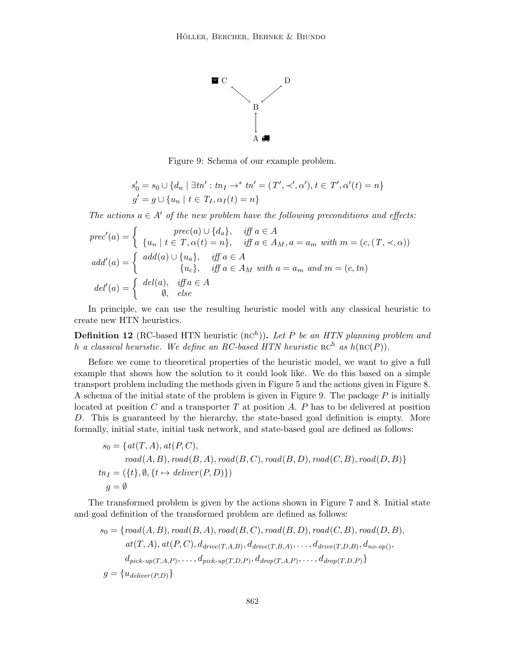

Figure 9: Schema of our example problem.

$$
s'_0 = s_0 \cup \{d_n \mid \exists tn' : tn_I \to^* tn' = (T', \prec', \alpha'), t \in T', \alpha'(t) = n\}
$$
  

$$
g' = g \cup \{u_n \mid t \in T_I, \alpha_I(t) = n\}
$$

The actions  $a \in A'$  of the new problem have the following preconditions and effects:

$$
prec'(a) = \begin{cases} \nprec(a) \cup \{d_a\}, & \text{iff } a \in A \\ \{u_n \mid t \in T, \alpha(t) = n\}, & \text{iff } a \in A_M, a = a_m \text{ with } m = (c, (T, \prec, \alpha)) \text{ and } d'(a) = \begin{cases} \nadd(a) \cup \{u_a\}, & \text{iff } a \in A \\ \nu_c\}, & \text{iff } a \in A_M \text{ with } a = a_m \text{ and } m = (c, tn) \n\end{cases}
$$
\n
$$
del'(a) = \begin{cases} \ndel(a), & \text{iff } a \in A \\ \n\emptyset, & \text{else} \n\end{cases}
$$

In principle, we can use the resulting heuristic model with any classical heuristic to create new HTN heuristics.

**Definition 12** (RC-based HTN heuristic  $(\text{RC}^h)$ ). Let P be an HTN planning problem and h a classical heuristic. We define an RC-based HTN heuristic  $\mathop{\rm RC}\nolimits^h$  as  $h(\mathop{\rm RC}\nolimits(P))$ .

Before we come to theoretical properties of the heuristic model, we want to give a full example that shows how the solution to it could look like. We do this based on a simple transport problem including the methods given in Figure 5 and the actions given in Figure 8. A schema of the initial state of the problem is given in Figure 9. The package  $P$  is initially located at position  $C$  and a transporter  $T$  at position  $A$ .  $P$  has to be delivered at position D. This is guaranteed by the hierarchy, the state-based goal definition is empty. More formally, initial state, initial task network, and state-based goal are defined as follows:

$$
s_0 = \{at(T, A), at(P, C),
$$
  
\n
$$
road(A, B), road(B, A), road(B, C), road(B, D), road(C, B), road(D, B)\}
$$
  
\n
$$
tn_I = (\{t\}, \emptyset, \{t \mapsto deliver(P, D)\})
$$
  
\n
$$
g = \emptyset
$$

The transformed problem is given by the actions shown in Figure 7 and 8. Initial state and goal definition of the transformed problem are defined as follows:

$$
s_0 = \{road(A, B), road(B, A), road(B, C), road(B, D), road(C, B), road(D, B), at(T, A), at(P, C), d_{drive(T, A, B)}, d_{drive(T, B, A)}, \ldots, d_{drive(T, D, B)}, d_{no-op(),} d_{pick-up(T, A, P)}, \ldots, d_{pick-up(T, D, P)}, d_{drop(T, A, P)}, \ldots, d_{drop(T, D, P)} \}
$$
  

$$
g = \{u_{deliver(P, D)}\}
$$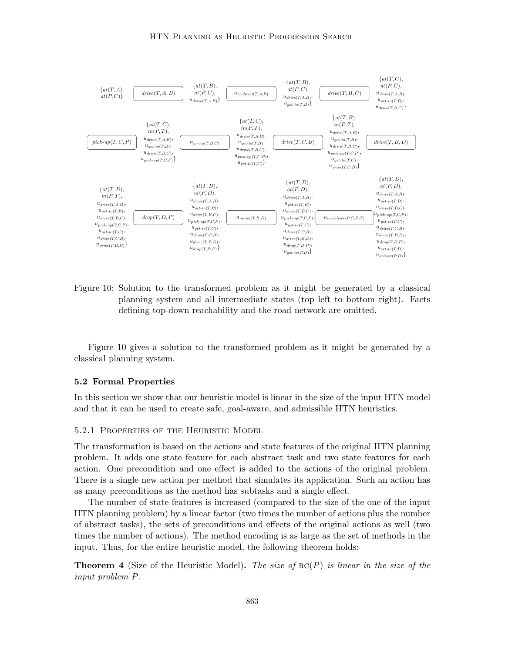

Figure 10: Solution to the transformed problem as it might be generated by a classical planning system and all intermediate states (top left to bottom right). Facts defining top-down reachability and the road network are omitted.

Figure 10 gives a solution to the transformed problem as it might be generated by a classical planning system.

### 5.2 Formal Properties

In this section we show that our heuristic model is linear in the size of the input HTN model and that it can be used to create safe, goal-aware, and admissible HTN heuristics.

### 5.2.1 Properties of the Heuristic Model

The transformation is based on the actions and state features of the original HTN planning problem. It adds one state feature for each abstract task and two state features for each action. One precondition and one effect is added to the actions of the original problem. There is a single new action per method that simulates its application. Such an action has as many preconditions as the method has subtasks and a single effect.

The number of state features is increased (compared to the size of the one of the input HTN planning problem) by a linear factor (two times the number of actions plus the number of abstract tasks), the sets of preconditions and effects of the original actions as well (two times the number of actions). The method encoding is as large as the set of methods in the input. Thus, for the entire heuristic model, the following theorem holds:

**Theorem 4** (Size of the Heuristic Model). The size of  $\text{RC}(P)$  is linear in the size of the input problem P.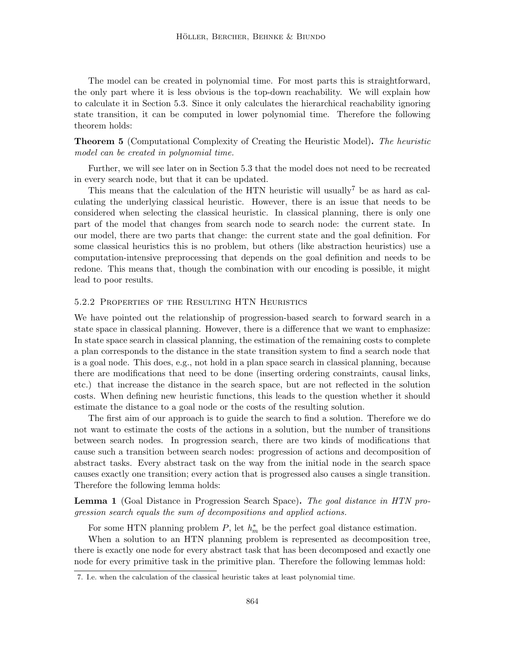The model can be created in polynomial time. For most parts this is straightforward, the only part where it is less obvious is the top-down reachability. We will explain how to calculate it in Section 5.3. Since it only calculates the hierarchical reachability ignoring state transition, it can be computed in lower polynomial time. Therefore the following theorem holds:

Theorem 5 (Computational Complexity of Creating the Heuristic Model). The heuristic model can be created in polynomial time.

Further, we will see later on in Section 5.3 that the model does not need to be recreated in every search node, but that it can be updated.

This means that the calculation of the HTN heuristic will usually<sup>7</sup> be as hard as calculating the underlying classical heuristic. However, there is an issue that needs to be considered when selecting the classical heuristic. In classical planning, there is only one part of the model that changes from search node to search node: the current state. In our model, there are two parts that change: the current state and the goal definition. For some classical heuristics this is no problem, but others (like abstraction heuristics) use a computation-intensive preprocessing that depends on the goal definition and needs to be redone. This means that, though the combination with our encoding is possible, it might lead to poor results.

### 5.2.2 Properties of the Resulting HTN Heuristics

We have pointed out the relationship of progression-based search to forward search in a state space in classical planning. However, there is a difference that we want to emphasize: In state space search in classical planning, the estimation of the remaining costs to complete a plan corresponds to the distance in the state transition system to find a search node that is a goal node. This does, e.g., not hold in a plan space search in classical planning, because there are modifications that need to be done (inserting ordering constraints, causal links, etc.) that increase the distance in the search space, but are not reflected in the solution costs. When defining new heuristic functions, this leads to the question whether it should estimate the distance to a goal node or the costs of the resulting solution.

The first aim of our approach is to guide the search to find a solution. Therefore we do not want to estimate the costs of the actions in a solution, but the number of transitions between search nodes. In progression search, there are two kinds of modifications that cause such a transition between search nodes: progression of actions and decomposition of abstract tasks. Every abstract task on the way from the initial node in the search space causes exactly one transition; every action that is progressed also causes a single transition. Therefore the following lemma holds:

Lemma 1 (Goal Distance in Progression Search Space). The goal distance in HTN progression search equals the sum of decompositions and applied actions.

For some HTN planning problem  $P$ , let  $h_m^*$  be the perfect goal distance estimation.

When a solution to an HTN planning problem is represented as decomposition tree, there is exactly one node for every abstract task that has been decomposed and exactly one node for every primitive task in the primitive plan. Therefore the following lemmas hold:

<sup>7.</sup> I.e. when the calculation of the classical heuristic takes at least polynomial time.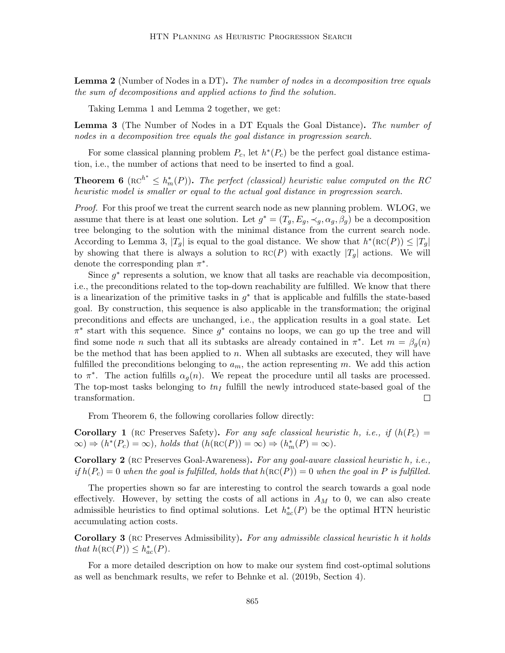Lemma 2 (Number of Nodes in a DT). The number of nodes in a decomposition tree equals the sum of decompositions and applied actions to find the solution.

Taking Lemma 1 and Lemma 2 together, we get:

Lemma 3 (The Number of Nodes in a DT Equals the Goal Distance). The number of nodes in a decomposition tree equals the goal distance in progression search.

For some classical planning problem  $P_c$ , let  $h^*(P_c)$  be the perfect goal distance estimation, i.e., the number of actions that need to be inserted to find a goal.

**Theorem 6** ( $\text{RC}^{h^*} \leq h_m^*(P)$ ). The perfect (classical) heuristic value computed on the RC heuristic model is smaller or equal to the actual goal distance in progression search.

Proof. For this proof we treat the current search node as new planning problem. WLOG, we assume that there is at least one solution. Let  $g^* = (T_g, E_g, \prec_g, \alpha_g, \beta_g)$  be a decomposition tree belonging to the solution with the minimal distance from the current search node. According to Lemma 3,  $|T_g|$  is equal to the goal distance. We show that  $h^*(\text{RC}(P)) \leq |T_g|$ by showing that there is always a solution to  $\text{RC}(P)$  with exactly  $|T_g|$  actions. We will denote the corresponding plan  $\pi^*$ .

Since  $g^*$  represents a solution, we know that all tasks are reachable via decomposition, i.e., the preconditions related to the top-down reachability are fulfilled. We know that there is a linearization of the primitive tasks in  $g^*$  that is applicable and fulfills the state-based goal. By construction, this sequence is also applicable in the transformation; the original preconditions and effects are unchanged, i.e., the application results in a goal state. Let  $\pi^*$  start with this sequence. Since  $g^*$  contains no loops, we can go up the tree and will find some node *n* such that all its subtasks are already contained in  $\pi^*$ . Let  $m = \beta_g(n)$ be the method that has been applied to  $n$ . When all subtasks are executed, they will have fulfilled the preconditions belonging to  $a_m$ , the action representing m. We add this action to  $\pi^*$ . The action fulfills  $\alpha_g(n)$ . We repeat the procedure until all tasks are processed. The top-most tasks belonging to  $t_{II}$  fulfill the newly introduced state-based goal of the transformation.  $\Box$ 

From Theorem 6, the following corollaries follow directly:

**Corollary 1** (RC Preserves Safety). For any safe classical heuristic h, i.e., if  $(h(P<sub>c</sub>)$  $\infty$   $\Rightarrow$   $(h^*(P_c) = \infty)$ , holds that  $(h(\text{RC}(P)) = \infty) \Rightarrow (h_m^*(P) = \infty)$ .

**Corollary 2** (RC Preserves Goal-Awareness). For any goal-aware classical heuristic h, i.e., if  $h(P_c) = 0$  when the goal is fulfilled, holds that  $h(RC(P)) = 0$  when the goal in P is fulfilled.

The properties shown so far are interesting to control the search towards a goal node effectively. However, by setting the costs of all actions in  $A_M$  to 0, we can also create admissible heuristics to find optimal solutions. Let  $h_{ac}^{*}(P)$  be the optimal HTN heuristic accumulating action costs.

Corollary 3 (RC Preserves Admissibility). For any admissible classical heuristic h it holds that  $h(\operatorname{RC}(P)) \leq h_{ac}^*(P)$ .

For a more detailed description on how to make our system find cost-optimal solutions as well as benchmark results, we refer to Behnke et al. (2019b, Section 4).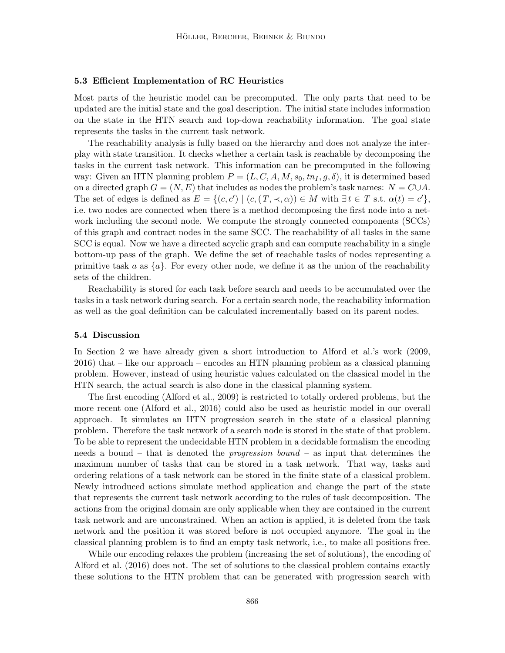#### 5.3 Efficient Implementation of RC Heuristics

Most parts of the heuristic model can be precomputed. The only parts that need to be updated are the initial state and the goal description. The initial state includes information on the state in the HTN search and top-down reachability information. The goal state represents the tasks in the current task network.

The reachability analysis is fully based on the hierarchy and does not analyze the interplay with state transition. It checks whether a certain task is reachable by decomposing the tasks in the current task network. This information can be precomputed in the following way: Given an HTN planning problem  $P = (L, C, A, M, s_0, tn_I, g, \delta)$ , it is determined based on a directed graph  $G = (N, E)$  that includes as nodes the problem's task names:  $N = C \cup A$ . The set of edges is defined as  $E = \{(c, c') | (c, (T, \prec, \alpha)) \in M \text{ with } \exists t \in T \text{ s.t. } \alpha(t) = c' \},\$ i.e. two nodes are connected when there is a method decomposing the first node into a network including the second node. We compute the strongly connected components (SCCs) of this graph and contract nodes in the same SCC. The reachability of all tasks in the same SCC is equal. Now we have a directed acyclic graph and can compute reachability in a single bottom-up pass of the graph. We define the set of reachable tasks of nodes representing a primitive task a as  $\{a\}$ . For every other node, we define it as the union of the reachability sets of the children.

Reachability is stored for each task before search and needs to be accumulated over the tasks in a task network during search. For a certain search node, the reachability information as well as the goal definition can be calculated incrementally based on its parent nodes.

# 5.4 Discussion

In Section 2 we have already given a short introduction to Alford et al.'s work (2009, 2016) that – like our approach – encodes an HTN planning problem as a classical planning problem. However, instead of using heuristic values calculated on the classical model in the HTN search, the actual search is also done in the classical planning system.

The first encoding (Alford et al., 2009) is restricted to totally ordered problems, but the more recent one (Alford et al., 2016) could also be used as heuristic model in our overall approach. It simulates an HTN progression search in the state of a classical planning problem. Therefore the task network of a search node is stored in the state of that problem. To be able to represent the undecidable HTN problem in a decidable formalism the encoding needs a bound – that is denoted the *progression bound* – as input that determines the maximum number of tasks that can be stored in a task network. That way, tasks and ordering relations of a task network can be stored in the finite state of a classical problem. Newly introduced actions simulate method application and change the part of the state that represents the current task network according to the rules of task decomposition. The actions from the original domain are only applicable when they are contained in the current task network and are unconstrained. When an action is applied, it is deleted from the task network and the position it was stored before is not occupied anymore. The goal in the classical planning problem is to find an empty task network, i.e., to make all positions free.

While our encoding relaxes the problem (increasing the set of solutions), the encoding of Alford et al. (2016) does not. The set of solutions to the classical problem contains exactly these solutions to the HTN problem that can be generated with progression search with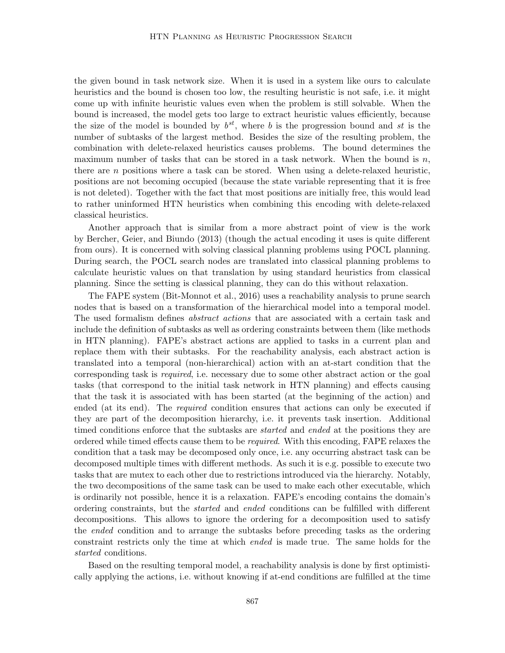the given bound in task network size. When it is used in a system like ours to calculate heuristics and the bound is chosen too low, the resulting heuristic is not safe, i.e. it might come up with infinite heuristic values even when the problem is still solvable. When the bound is increased, the model gets too large to extract heuristic values efficiently, because the size of the model is bounded by  $b^{st}$ , where b is the progression bound and st is the number of subtasks of the largest method. Besides the size of the resulting problem, the combination with delete-relaxed heuristics causes problems. The bound determines the maximum number of tasks that can be stored in a task network. When the bound is  $n$ , there are  $n$  positions where a task can be stored. When using a delete-relaxed heuristic, positions are not becoming occupied (because the state variable representing that it is free is not deleted). Together with the fact that most positions are initially free, this would lead to rather uninformed HTN heuristics when combining this encoding with delete-relaxed classical heuristics.

Another approach that is similar from a more abstract point of view is the work by Bercher, Geier, and Biundo (2013) (though the actual encoding it uses is quite different from ours). It is concerned with solving classical planning problems using POCL planning. During search, the POCL search nodes are translated into classical planning problems to calculate heuristic values on that translation by using standard heuristics from classical planning. Since the setting is classical planning, they can do this without relaxation.

The FAPE system (Bit-Monnot et al., 2016) uses a reachability analysis to prune search nodes that is based on a transformation of the hierarchical model into a temporal model. The used formalism defines abstract actions that are associated with a certain task and include the definition of subtasks as well as ordering constraints between them (like methods in HTN planning). FAPE's abstract actions are applied to tasks in a current plan and replace them with their subtasks. For the reachability analysis, each abstract action is translated into a temporal (non-hierarchical) action with an at-start condition that the corresponding task is required, i.e. necessary due to some other abstract action or the goal tasks (that correspond to the initial task network in HTN planning) and effects causing that the task it is associated with has been started (at the beginning of the action) and ended (at its end). The *required* condition ensures that actions can only be executed if they are part of the decomposition hierarchy, i.e. it prevents task insertion. Additional timed conditions enforce that the subtasks are *started* and *ended* at the positions they are ordered while timed effects cause them to be required. With this encoding, FAPE relaxes the condition that a task may be decomposed only once, i.e. any occurring abstract task can be decomposed multiple times with different methods. As such it is e.g. possible to execute two tasks that are mutex to each other due to restrictions introduced via the hierarchy. Notably, the two decompositions of the same task can be used to make each other executable, which is ordinarily not possible, hence it is a relaxation. FAPE's encoding contains the domain's ordering constraints, but the started and ended conditions can be fulfilled with different decompositions. This allows to ignore the ordering for a decomposition used to satisfy the *ended* condition and to arrange the subtasks before preceding tasks as the ordering constraint restricts only the time at which ended is made true. The same holds for the started conditions.

Based on the resulting temporal model, a reachability analysis is done by first optimistically applying the actions, i.e. without knowing if at-end conditions are fulfilled at the time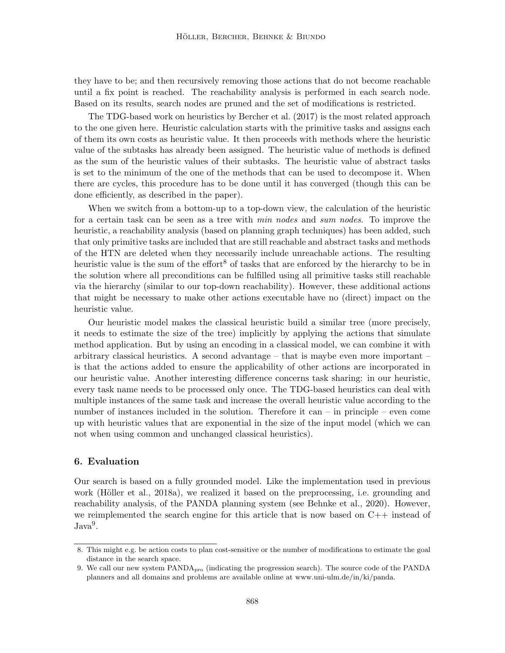they have to be; and then recursively removing those actions that do not become reachable until a fix point is reached. The reachability analysis is performed in each search node. Based on its results, search nodes are pruned and the set of modifications is restricted.

The TDG-based work on heuristics by Bercher et al. (2017) is the most related approach to the one given here. Heuristic calculation starts with the primitive tasks and assigns each of them its own costs as heuristic value. It then proceeds with methods where the heuristic value of the subtasks has already been assigned. The heuristic value of methods is defined as the sum of the heuristic values of their subtasks. The heuristic value of abstract tasks is set to the minimum of the one of the methods that can be used to decompose it. When there are cycles, this procedure has to be done until it has converged (though this can be done efficiently, as described in the paper).

When we switch from a bottom-up to a top-down view, the calculation of the heuristic for a certain task can be seen as a tree with min nodes and sum nodes. To improve the heuristic, a reachability analysis (based on planning graph techniques) has been added, such that only primitive tasks are included that are still reachable and abstract tasks and methods of the HTN are deleted when they necessarily include unreachable actions. The resulting heuristic value is the sum of the effort<sup>8</sup> of tasks that are enforced by the hierarchy to be in the solution where all preconditions can be fulfilled using all primitive tasks still reachable via the hierarchy (similar to our top-down reachability). However, these additional actions that might be necessary to make other actions executable have no (direct) impact on the heuristic value.

Our heuristic model makes the classical heuristic build a similar tree (more precisely, it needs to estimate the size of the tree) implicitly by applying the actions that simulate method application. But by using an encoding in a classical model, we can combine it with arbitrary classical heuristics. A second advantage – that is maybe even more important – is that the actions added to ensure the applicability of other actions are incorporated in our heuristic value. Another interesting difference concerns task sharing: in our heuristic, every task name needs to be processed only once. The TDG-based heuristics can deal with multiple instances of the same task and increase the overall heuristic value according to the number of instances included in the solution. Therefore it can – in principle – even come up with heuristic values that are exponential in the size of the input model (which we can not when using common and unchanged classical heuristics).

# 6. Evaluation

Our search is based on a fully grounded model. Like the implementation used in previous work (Höller et al., 2018a), we realized it based on the preprocessing, i.e. grounding and reachability analysis, of the PANDA planning system (see Behnke et al., 2020). However, we reimplemented the search engine for this article that is now based on  $C_{++}$  instead of  $Java<sup>9</sup>$ .

<sup>8.</sup> This might e.g. be action costs to plan cost-sensitive or the number of modifications to estimate the goal distance in the search space.

<sup>9.</sup> We call our new system PANDApro (indicating the progression search). The source code of the PANDA planners and all domains and problems are available online at www.uni-ulm.de/in/ki/panda.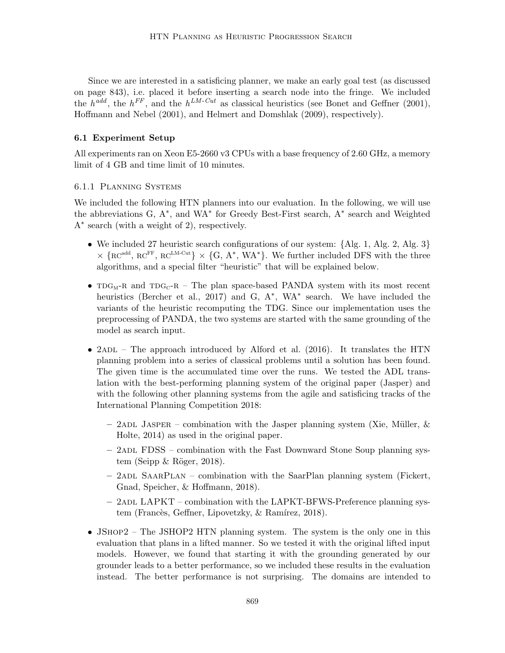Since we are interested in a satisficing planner, we make an early goal test (as discussed on page 843), i.e. placed it before inserting a search node into the fringe. We included the  $h^{add}$ , the  $h^{FF}$ , and the  $h^{LM-Cut}$  as classical heuristics (see Bonet and Geffner (2001), Hoffmann and Nebel (2001), and Helmert and Domshlak (2009), respectively).

## 6.1 Experiment Setup

All experiments ran on Xeon E5-2660 v3 CPUs with a base frequency of 2.60 GHz, a memory limit of 4 GB and time limit of 10 minutes.

### 6.1.1 Planning Systems

We included the following HTN planners into our evaluation. In the following, we will use the abbreviations G, A<sup>∗</sup> , and WA<sup>∗</sup> for Greedy Best-First search, A<sup>∗</sup> search and Weighted A∗ search (with a weight of 2), respectively.

- We included 27 heuristic search configurations of our system: {Alg. 1, Alg. 2, Alg. 3}  $\times \{RC^{add}, RC^{FF}, RC^{LM-Cut}\}\times \{G, A^*, WA^*\}.$  We further included DFS with the three algorithms, and a special filter "heuristic" that will be explained below.
- $T_{\text{DG}_{\text{M}}-R}$  and  $T_{\text{DG}_{\text{C}}-R}$  The plan space-based PANDA system with its most recent heuristics (Bercher et al., 2017) and G, A<sup>\*</sup>, WA<sup>\*</sup> search. We have included the variants of the heuristic recomputing the TDG. Since our implementation uses the preprocessing of PANDA, the two systems are started with the same grounding of the model as search input.
- 2ADL The approach introduced by Alford et al. (2016). It translates the HTN planning problem into a series of classical problems until a solution has been found. The given time is the accumulated time over the runs. We tested the ADL translation with the best-performing planning system of the original paper (Jasper) and with the following other planning systems from the agile and satisficing tracks of the International Planning Competition 2018:
	- $-$  2adl Jasper combination with the Jasper planning system (Xie, Müller, & Holte, 2014) as used in the original paper.
	- 2adl FDSS combination with the Fast Downward Stone Soup planning system (Seipp  $\&$  Röger, 2018).
	- $-$  2ADL SAARPLAN combination with the SaarPlan planning system (Fickert, Gnad, Speicher, & Hoffmann, 2018).
	- $-$  2ADL LAPKT combination with the LAPKT-BFWS-Preference planning system (Francès, Geffner, Lipovetzky, & Ramírez, 2018).
- JSHOP2 The JSHOP2 HTN planning system. The system is the only one in this evaluation that plans in a lifted manner. So we tested it with the original lifted input models. However, we found that starting it with the grounding generated by our grounder leads to a better performance, so we included these results in the evaluation instead. The better performance is not surprising. The domains are intended to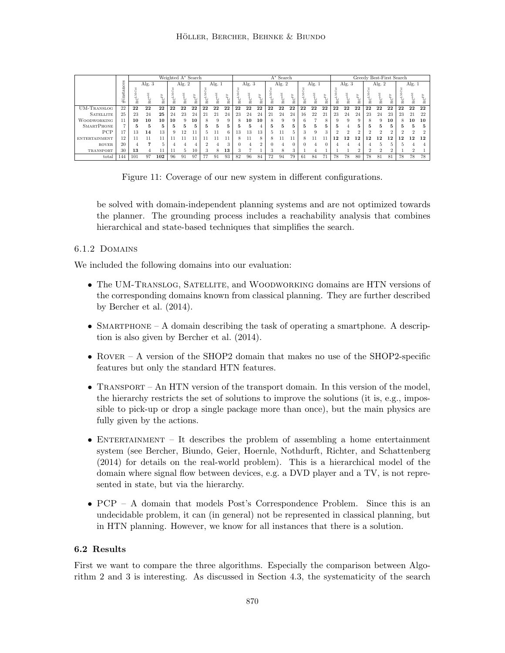|                      |          | Weighted A* Search |    |     |          |    |                                    |    |          |                                      | $A^*$ Search |    |                    |          |    |                             |          |    |                             |          | Greedy Best-First Search |                             |                |                |                             |          |          |    |  |
|----------------------|----------|--------------------|----|-----|----------|----|------------------------------------|----|----------|--------------------------------------|--------------|----|--------------------|----------|----|-----------------------------|----------|----|-----------------------------|----------|--------------------------|-----------------------------|----------------|----------------|-----------------------------|----------|----------|----|--|
|                      | đ.       | Alg. $3$           |    |     | Alg. $2$ |    | Alg. $1$                           |    | Alg. $3$ |                                      | Alg. $2$     |    |                    | Alg. $1$ |    |                             | Alg. $3$ |    |                             | Alg. $2$ |                          |                             | Alg. $1$       |                |                             |          |          |    |  |
|                      | #instanc |                    | 잁  | ≚   | 잁        | 잁  | $\mathbf{R}\mathbf{C}^{\text{FF}}$ | é  | ≆        | $\mathrm{R}\mathrm{C}^{\mathrm{FF}}$ |              | 8  | FC <sup>EE</sup>   | 잁        | 넕  | $\mathrm{RC}^{\mathrm{FF}}$ |          | 넕  | $\mathrm{RC}^{\mathrm{FF}}$ | ್ಲ       | 2                        | $\mathrm{RC}^{\mathrm{FF}}$ | 잁              | 으              | $\mathrm{RC}^{\mathrm{FF}}$ | RCLA     | ≍        | ≆  |  |
| <b>UM-TRANSLOG</b>   | 22       | 22                 | 22 | 22  | 22       | 22 | 22                                 | 22 | 22       | 22                                   | 22           | 22 | 22                 | 22       | 22 | 22                          | 22       | 22 | 22                          | 22       | 22                       | 22                          | 22             | 22             | 22                          | 22       | 22       | 22 |  |
| <b>SATELLITE</b>     | 25       | 23                 | 24 | 25  | 24       | 23 | 24                                 | 21 | 21       | 24                                   | 23           | 24 | 24                 | 21       | 24 | 24                          | 16       | 22 | 2i                          | 23       | 24                       | 24                          | 23             | 24             | 23                          | 23       | 21       | 22 |  |
| <b>WOODWORKING</b>   | 11       | 10                 | 10 | 10  | 10       | 9  | 10                                 | 8  | 9        | 9                                    | 8            | 10 | 10                 |          | Q  | 9                           | в        |    |                             | 9        | 9                        | Q                           | 8              | 9              | 10                          | 8        | 10       | 10 |  |
| <b>SMARTPHONE</b>    |          | ÷.                 | 5  |     | ÷.       | 5  | 5                                  | 5. | 5        | 5                                    | n.           | 5  | 4                  | 5        |    | 5                           | 5        | 5  | 5                           | 5        |                          | 5                           | 5              | 5              | 5.                          | Ð.       | 5        | 5  |  |
| PCP                  | 17       | 13                 | 14 | 13  | 9        | 12 | 11                                 | 5. | 11       | 6                                    | 13           | 13 | 13                 |          |    | 5                           |          | Q  | $\Omega$                    | $\Omega$ | $\Omega$                 | $\Omega$                    | $\Omega$       | $\Omega$       | $\Omega$                    | $\Omega$ | $\Omega$ |    |  |
| <b>ENTERTAINMENT</b> | 12       | . .                |    |     |          |    |                                    |    |          | 11                                   | 8.           |    | $\mathbf{\hat{z}}$ |          |    | 11                          | 8        |    |                             | 12       | 12                       | 12                          | 12             | 12             | 12                          | 12       | 12       | 12 |  |
| <b>ROVER</b>         | 20       |                    |    |     |          |    |                                    |    |          | 3                                    |              |    | $\Omega$           |          |    |                             |          |    |                             |          |                          |                             |                |                |                             |          |          |    |  |
| TRANSPORT            | 30       | 13                 |    |     |          | Ь  | 10                                 | a. | 8        | 13                                   |              |    |                    |          | 8  | 3                           |          |    |                             |          |                          | $\Omega$                    | $\overline{2}$ | $\overline{2}$ | $\Omega$                    |          |          |    |  |
| total                | 144      | 101                | 97 | 102 | 96       | 91 | 97                                 | 77 | 91       | 93                                   | 82           | 96 | 84                 | 72       | 94 | 79                          | 61       | 84 | 71                          | 78       | 78                       | 80                          | 78             | 81             | 81                          | 78       | 78       | 78 |  |



be solved with domain-independent planning systems and are not optimized towards the planner. The grounding process includes a reachability analysis that combines hierarchical and state-based techniques that simplifies the search.

# 6.1.2 Domains

We included the following domains into our evaluation:

- The UM-TRANSLOG, SATELLITE, and WOODWORKING domains are HTN versions of the corresponding domains known from classical planning. They are further described by Bercher et al. (2014).
- SMARTPHONE A domain describing the task of operating a smartphone. A description is also given by Bercher et al. (2014).
- ROVER A version of the SHOP2 domain that makes no use of the SHOP2-specific features but only the standard HTN features.
- TRANSPORT An HTN version of the transport domain. In this version of the model, the hierarchy restricts the set of solutions to improve the solutions (it is, e.g., impossible to pick-up or drop a single package more than once), but the main physics are fully given by the actions.
- ENTERTAINMENT It describes the problem of assembling a home entertainment system (see Bercher, Biundo, Geier, Hoernle, Nothdurft, Richter, and Schattenberg (2014) for details on the real-world problem). This is a hierarchical model of the domain where signal flow between devices, e.g. a DVD player and a TV, is not represented in state, but via the hierarchy.
- PCP A domain that models Post's Correspondence Problem. Since this is an undecidable problem, it can (in general) not be represented in classical planning, but in HTN planning. However, we know for all instances that there is a solution.

# 6.2 Results

First we want to compare the three algorithms. Especially the comparison between Algorithm 2 and 3 is interesting. As discussed in Section 4.3, the systematicity of the search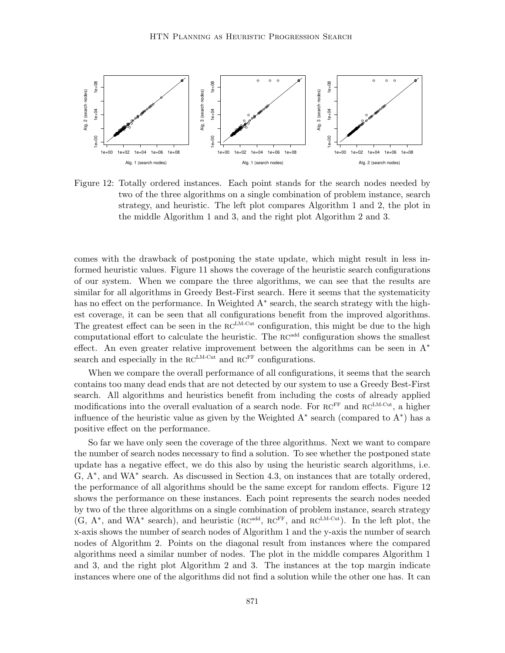

Figure 12: Totally ordered instances. Each point stands for the search nodes needed by two of the three algorithms on a single combination of problem instance, search strategy, and heuristic. The left plot compares Algorithm 1 and 2, the plot in the middle Algorithm 1 and 3, and the right plot Algorithm 2 and 3.

comes with the drawback of postponing the state update, which might result in less informed heuristic values. Figure 11 shows the coverage of the heuristic search configurations of our system. When we compare the three algorithms, we can see that the results are similar for all algorithms in Greedy Best-First search. Here it seems that the systematicity has no effect on the performance. In Weighted A<sup>\*</sup> search, the search strategy with the highest coverage, it can be seen that all configurations benefit from the improved algorithms. The greatest effect can be seen in the  $RC^{LM-Cut}$  configuration, this might be due to the high computational effort to calculate the heuristic. The  $RC<sup>add</sup>$  configuration shows the smallest effect. An even greater relative improvement between the algorithms can be seen in A<sup>∗</sup> search and especially in the  $RC^{LM-Cut}$  and  $RC^{FF}$  configurations.

When we compare the overall performance of all configurations, it seems that the search contains too many dead ends that are not detected by our system to use a Greedy Best-First search. All algorithms and heuristics benefit from including the costs of already applied modifications into the overall evaluation of a search node. For  $RC^{FF}$  and  $RC^{LM-Cut}$ , a higher influence of the heuristic value as given by the Weighted A<sup>∗</sup> search (compared to A<sup>∗</sup> ) has a positive effect on the performance.

So far we have only seen the coverage of the three algorithms. Next we want to compare the number of search nodes necessary to find a solution. To see whether the postponed state update has a negative effect, we do this also by using the heuristic search algorithms, i.e. G, A<sup>∗</sup>, and WA<sup>∗</sup> search. As discussed in Section 4.3, on instances that are totally ordered, the performance of all algorithms should be the same except for random effects. Figure 12 shows the performance on these instances. Each point represents the search nodes needed by two of the three algorithms on a single combination of problem instance, search strategy  $(G, A^*)$ , and WA<sup>\*</sup> search), and heuristic  $(RC^{add}, RC^{FF})$ , and  $RC^{LM-Cut}$ ). In the left plot, the x-axis shows the number of search nodes of Algorithm 1 and the y-axis the number of search nodes of Algorithm 2. Points on the diagonal result from instances where the compared algorithms need a similar number of nodes. The plot in the middle compares Algorithm 1 and 3, and the right plot Algorithm 2 and 3. The instances at the top margin indicate instances where one of the algorithms did not find a solution while the other one has. It can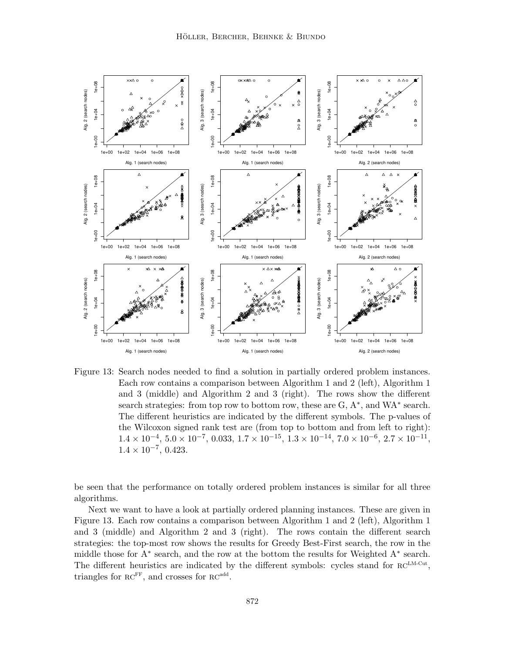

Figure 13: Search nodes needed to find a solution in partially ordered problem instances. Each row contains a comparison between Algorithm 1 and 2 (left), Algorithm 1 and 3 (middle) and Algorithm 2 and 3 (right). The rows show the different search strategies: from top row to bottom row, these are G, A<sup>\*</sup>, and WA<sup>\*</sup> search. The different heuristics are indicated by the different symbols. The p-values of the Wilcoxon signed rank test are (from top to bottom and from left to right):  $1.4 \times 10^{-4}$ ,  $5.0 \times 10^{-7}$ ,  $0.033$ ,  $1.7 \times 10^{-15}$ ,  $1.3 \times 10^{-14}$ ,  $7.0 \times 10^{-6}$ ,  $2.7 \times 10^{-11}$ ,  $1.4 \times 10^{-7}$ , 0.423.

be seen that the performance on totally ordered problem instances is similar for all three algorithms.

Next we want to have a look at partially ordered planning instances. These are given in Figure 13. Each row contains a comparison between Algorithm 1 and 2 (left), Algorithm 1 and 3 (middle) and Algorithm 2 and 3 (right). The rows contain the different search strategies: the top-most row shows the results for Greedy Best-First search, the row in the middle those for A<sup>∗</sup> search, and the row at the bottom the results for Weighted A<sup>∗</sup> search. The different heuristics are indicated by the different symbols: cycles stand for  $RC^{LM-Cut}$ , triangles for  $\mathrm{RC}^{\mathrm{FF}}$ , and crosses for  $\mathrm{RC}^{\mathrm{add}}$ .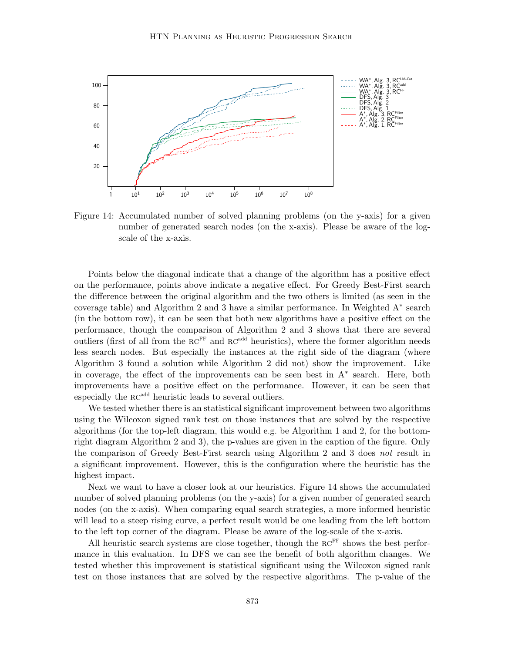

Figure 14: Accumulated number of solved planning problems (on the y-axis) for a given number of generated search nodes (on the x-axis). Please be aware of the logscale of the x-axis.

Points below the diagonal indicate that a change of the algorithm has a positive effect on the performance, points above indicate a negative effect. For Greedy Best-First search the difference between the original algorithm and the two others is limited (as seen in the coverage table) and Algorithm 2 and 3 have a similar performance. In Weighted A<sup>∗</sup> search (in the bottom row), it can be seen that both new algorithms have a positive effect on the performance, though the comparison of Algorithm 2 and 3 shows that there are several outliers (first of all from the  $RC^{FF}$  and  $RC^{add}$  heuristics), where the former algorithm needs less search nodes. But especially the instances at the right side of the diagram (where Algorithm 3 found a solution while Algorithm 2 did not) show the improvement. Like in coverage, the effect of the improvements can be seen best in A<sup>∗</sup> search. Here, both improvements have a positive effect on the performance. However, it can be seen that especially the RC<sup>add</sup> heuristic leads to several outliers.

We tested whether there is an statistical significant improvement between two algorithms using the Wilcoxon signed rank test on those instances that are solved by the respective algorithms (for the top-left diagram, this would e.g. be Algorithm 1 and 2, for the bottomright diagram Algorithm 2 and 3), the p-values are given in the caption of the figure. Only the comparison of Greedy Best-First search using Algorithm 2 and 3 does not result in a significant improvement. However, this is the configuration where the heuristic has the highest impact.

Next we want to have a closer look at our heuristics. Figure 14 shows the accumulated number of solved planning problems (on the y-axis) for a given number of generated search nodes (on the x-axis). When comparing equal search strategies, a more informed heuristic will lead to a steep rising curve, a perfect result would be one leading from the left bottom to the left top corner of the diagram. Please be aware of the log-scale of the x-axis.

All heuristic search systems are close together, though the  $RC<sup>FF</sup>$  shows the best performance in this evaluation. In DFS we can see the benefit of both algorithm changes. We tested whether this improvement is statistical significant using the Wilcoxon signed rank test on those instances that are solved by the respective algorithms. The p-value of the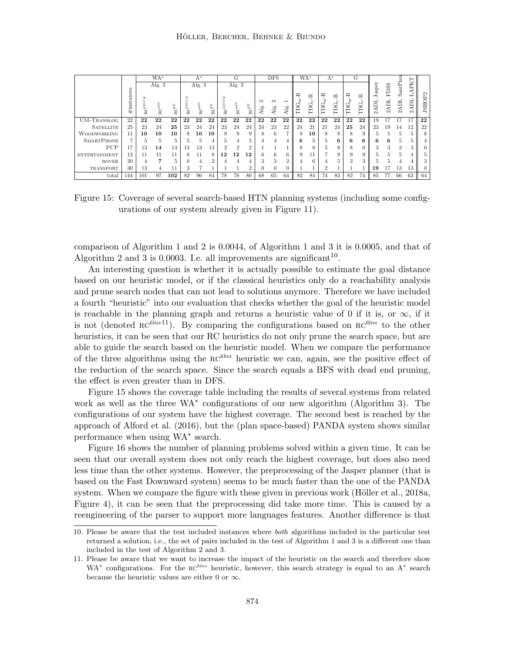|                      |                | WA*             |                   |                                      | $A^*$            |                   |                             |    | G                                     |                                      | <b>DFS</b>      |          |               |    | $WA^*$ |      | $A^*$ |      | G    |              |                     |                 |        |                  |
|----------------------|----------------|-----------------|-------------------|--------------------------------------|------------------|-------------------|-----------------------------|----|---------------------------------------|--------------------------------------|-----------------|----------|---------------|----|--------|------|-------|------|------|--------------|---------------------|-----------------|--------|------------------|
|                      | $\#$ instances |                 | Alg. $3$          |                                      |                  | Alg. $3$          |                             |    | Alg. $3$                              |                                      | ಌ               | $\sim$   |               | ≃  | ≃      | ř    | ≃     | ř    | Ĕ    | asp<br>Ę     | <b>FDSS</b><br>2ADL | SaarPla<br>2ADL | ā      | $\sim$<br>JSHOP? |
|                      |                | RC <sup>L</sup> | RC <sup>add</sup> | $\mathrm{R}\mathrm{C}^{\mathrm{FF}}$ | RC <sup>LM</sup> | RC <sup>add</sup> | $\mathrm{RC}^{\mathrm{FF}}$ |    | $\mathbf{R}\mathbf{C}^{\mathrm{add}}$ | $\mathbf{R}\mathbf{C}^{\mathrm{FF}}$ | $\overline{AB}$ | Alg.     | $\frac{1}{2}$ | Ξ  | Ĕ      | TDG, | Ã     | TDG, | TDG. | $\mathbf{C}$ |                     |                 | $\sim$ |                  |
| UM-TRANSLOG          | 22             | 22              | 22                | 22                                   | 22               | 22                | 22                          | 22 | 22                                    | 22                                   | 22              | 22       | 22            | 22 | 22     | 22   | 22    | 22   | 22   | 19           | 17                  | 17              | 17     | 22               |
| <b>SATELLITE</b>     | 25             | 23              | 24                | 25                                   | 23               | 24                | 24                          | 23 | 24                                    | 24                                   | 24              | 23       | 22            | 24 | 21     | 21   | 24    | 25   | 24   | 23           | 19                  | 14              | 12     | 22               |
| <b>WOODWORKING</b>   | 11             | 10              | 10                | 10                                   | 8                | 10                | 10                          | 9  | 9                                     | 9                                    | 8               | 6        |               | 8  | 10     | 8    | 8     | 8    | 9    | h.           | Ð.                  | b.              |        | 8                |
| <b>SMARTPHONE</b>    | 5              |                 | 5                 | 5                                    | 5                | 5                 | 4                           |    | 4                                     | 5                                    |                 | 4        |               | 6  | 5      |      | 6     | 6    | 6    | 6            | 6                   | 5.              |        |                  |
| PCP                  | 17             | 13              | 14                | 13                                   | 13               | 13                | 13                          |    | $\overline{2}$                        | $\overline{2}$                       |                 |          |               | 8  | 8      |      | 8     | 8    |      | 3            | 3                   | 3               |        |                  |
| <b>ENTERTAINMENT</b> | 12             | 11              | 11                | 11                                   | 8                | 11                | 8                           | 12 | 12                                    | 12                                   | 6               | 6        |               | 9  |        |      | 9     | g    | 9    | h            | 5                   |                 |        | 5                |
| <b>ROVER</b>         | 20             |                 | 7                 | 5                                    |                  | 4                 | $\overline{2}$              |    |                                       |                                      | 3               | 3        | $\Omega$      |    | 6      |      | 5     | 3    | 3    |              | 5                   |                 |        | 3                |
| TRANSPORT            | 30             | 13              | 4                 | 11                                   | 3                | Ð                 |                             |    |                                       | 2                                    | C               | $\Omega$ |               |    |        |      |       |      |      | 19           |                     | 13              | 13     |                  |
| total                | 144            | 101             | 97                | 102                                  | 82               | 96                | 84                          | 78 | 78                                    | 80                                   | 68              | 65       | 64            | 82 | 84     | 74   | 83    | 82   | 74   | 85           | 77                  | 66              | 63     | 64               |

Figure 15: Coverage of several search-based HTN planning systems (including some configurations of our system already given in Figure 11).

comparison of Algorithm 1 and 2 is 0.0044, of Algorithm 1 and 3 it is 0.0005, and that of Algorithm 2 and 3 is 0.0003. I.e. all improvements are significant<sup>10</sup>.

An interesting question is whether it is actually possible to estimate the goal distance based on our heuristic model, or if the classical heuristics only do a reachability analysis and prune search nodes that can not lead to solutions anymore. Therefore we have included a fourth "heuristic" into our evaluation that checks whether the goal of the heuristic model is reachable in the planning graph and returns a heuristic value of 0 if it is, or  $\infty$ , if it is not (denoted  $RC^{filter11}$ ). By comparing the configurations based on  $RC^{filter}$  to the other heuristics, it can be seen that our RC heuristics do not only prune the search space, but are able to guide the search based on the heuristic model. When we compare the performance of the three algorithms using the RC<sup>filter</sup> heuristic we can, again, see the positive effect of the reduction of the search space. Since the search equals a BFS with dead end pruning, the effect is even greater than in DFS.

Figure 15 shows the coverage table including the results of several systems from related work as well as the three WA<sup>∗</sup> configurations of our new algorithm (Algorithm 3). The configurations of our system have the highest coverage. The second best is reached by the approach of Alford et al. (2016), but the (plan space-based) PANDA system shows similar performance when using WA<sup>∗</sup> search.

Figure 16 shows the number of planning problems solved within a given time. It can be seen that our overall system does not only reach the highest coverage, but does also need less time than the other systems. However, the preprocessing of the Jasper planner (that is based on the Fast Downward system) seems to be much faster than the one of the PANDA system. When we compare the figure with these given in previous work (Höller et al.,  $2018a$ , Figure 4), it can be seen that the preprocessing did take more time. This is caused by a reengineering of the parser to support more languages features. Another difference is that

<sup>10.</sup> Please be aware that the test included instances where both algorithms included in the particular test returned a solution, i.e., the set of pairs included in the test of Algorithm 1 and 3 is a different one than included in the test of Algorithm 2 and 3.

<sup>11.</sup> Please be aware that we want to increase the impact of the heuristic on the search and therefore show WA<sup>\*</sup> configurations. For the RC<sup>filter</sup> heuristic, however, this search strategy is equal to an A<sup>\*</sup> search because the heuristic values are either 0 or  $\infty$ .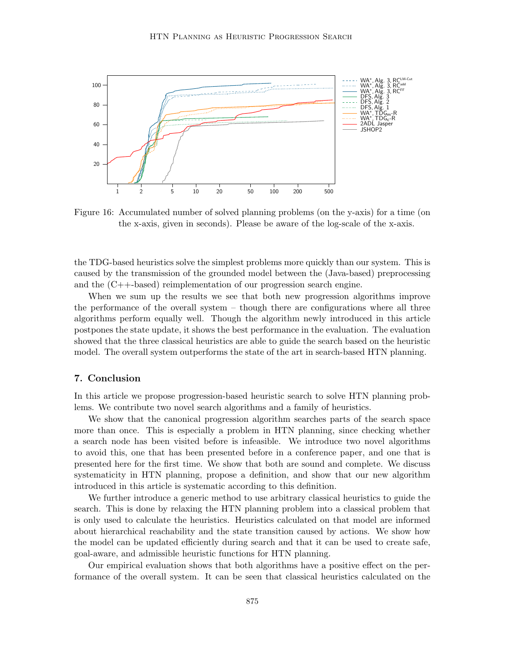

Figure 16: Accumulated number of solved planning problems (on the y-axis) for a time (on the x-axis, given in seconds). Please be aware of the log-scale of the x-axis.

the TDG-based heuristics solve the simplest problems more quickly than our system. This is caused by the transmission of the grounded model between the (Java-based) preprocessing and the (C++-based) reimplementation of our progression search engine.

When we sum up the results we see that both new progression algorithms improve the performance of the overall system – though there are configurations where all three algorithms perform equally well. Though the algorithm newly introduced in this article postpones the state update, it shows the best performance in the evaluation. The evaluation showed that the three classical heuristics are able to guide the search based on the heuristic model. The overall system outperforms the state of the art in search-based HTN planning.

# 7. Conclusion

In this article we propose progression-based heuristic search to solve HTN planning problems. We contribute two novel search algorithms and a family of heuristics.

We show that the canonical progression algorithm searches parts of the search space more than once. This is especially a problem in HTN planning, since checking whether a search node has been visited before is infeasible. We introduce two novel algorithms to avoid this, one that has been presented before in a conference paper, and one that is presented here for the first time. We show that both are sound and complete. We discuss systematicity in HTN planning, propose a definition, and show that our new algorithm introduced in this article is systematic according to this definition.

We further introduce a generic method to use arbitrary classical heuristics to guide the search. This is done by relaxing the HTN planning problem into a classical problem that is only used to calculate the heuristics. Heuristics calculated on that model are informed about hierarchical reachability and the state transition caused by actions. We show how the model can be updated efficiently during search and that it can be used to create safe, goal-aware, and admissible heuristic functions for HTN planning.

Our empirical evaluation shows that both algorithms have a positive effect on the performance of the overall system. It can be seen that classical heuristics calculated on the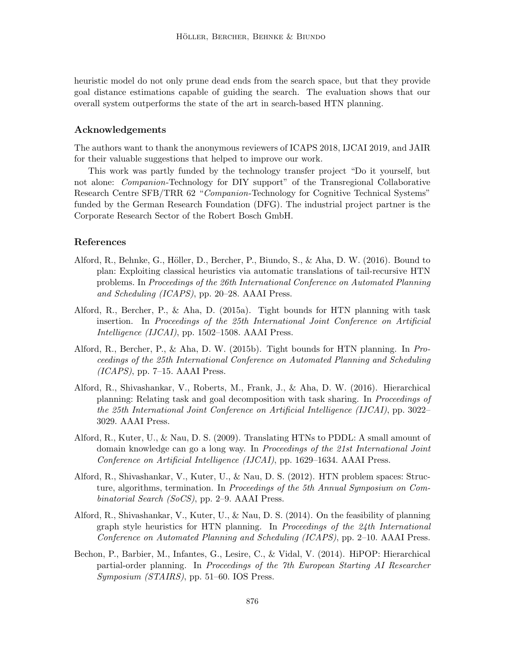heuristic model do not only prune dead ends from the search space, but that they provide goal distance estimations capable of guiding the search. The evaluation shows that our overall system outperforms the state of the art in search-based HTN planning.

# Acknowledgements

The authors want to thank the anonymous reviewers of ICAPS 2018, IJCAI 2019, and JAIR for their valuable suggestions that helped to improve our work.

This work was partly funded by the technology transfer project "Do it yourself, but not alone: *Companion*-Technology for DIY support" of the Transregional Collaborative Research Centre SFB/TRR 62 "Companion-Technology for Cognitive Technical Systems" funded by the German Research Foundation (DFG). The industrial project partner is the Corporate Research Sector of the Robert Bosch GmbH.

## References

- Alford, R., Behnke, G., Höller, D., Bercher, P., Biundo, S., & Aha, D. W. (2016). Bound to plan: Exploiting classical heuristics via automatic translations of tail-recursive HTN problems. In Proceedings of the 26th International Conference on Automated Planning and Scheduling (ICAPS), pp. 20–28. AAAI Press.
- Alford, R., Bercher, P., & Aha, D. (2015a). Tight bounds for HTN planning with task insertion. In Proceedings of the 25th International Joint Conference on Artificial Intelligence (IJCAI), pp. 1502–1508. AAAI Press.
- Alford, R., Bercher, P., & Aha, D. W. (2015b). Tight bounds for HTN planning. In Proceedings of the 25th International Conference on Automated Planning and Scheduling  $(ICAPS)$ , pp. 7–15. AAAI Press.
- Alford, R., Shivashankar, V., Roberts, M., Frank, J., & Aha, D. W. (2016). Hierarchical planning: Relating task and goal decomposition with task sharing. In Proceedings of the 25th International Joint Conference on Artificial Intelligence (IJCAI), pp. 3022– 3029. AAAI Press.
- Alford, R., Kuter, U., & Nau, D. S. (2009). Translating HTNs to PDDL: A small amount of domain knowledge can go a long way. In *Proceedings of the 21st International Joint* Conference on Artificial Intelligence (IJCAI), pp. 1629–1634. AAAI Press.
- Alford, R., Shivashankar, V., Kuter, U., & Nau, D. S. (2012). HTN problem spaces: Structure, algorithms, termination. In Proceedings of the 5th Annual Symposium on Combinatorial Search (SoCS), pp. 2–9. AAAI Press.
- Alford, R., Shivashankar, V., Kuter, U., & Nau, D. S. (2014). On the feasibility of planning graph style heuristics for HTN planning. In Proceedings of the  $24$ th International Conference on Automated Planning and Scheduling (ICAPS), pp. 2–10. AAAI Press.
- Bechon, P., Barbier, M., Infantes, G., Lesire, C., & Vidal, V. (2014). HiPOP: Hierarchical partial-order planning. In Proceedings of the 7th European Starting AI Researcher Symposium (STAIRS), pp. 51–60. IOS Press.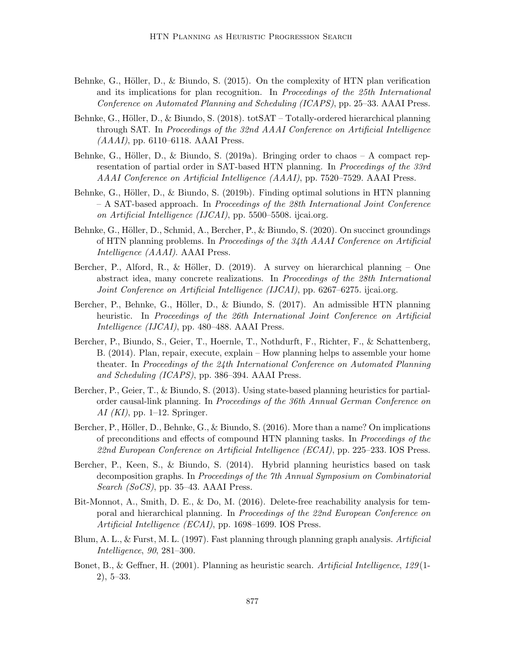- Behnke, G., Höller, D., & Biundo, S.  $(2015)$ . On the complexity of HTN plan verification and its implications for plan recognition. In Proceedings of the 25th International Conference on Automated Planning and Scheduling (ICAPS), pp. 25–33. AAAI Press.
- Behnke, G., Höller, D., & Biundo, S. (2018). totSAT Totally-ordered hierarchical planning through SAT. In Proceedings of the 32nd AAAI Conference on Artificial Intelligence  $(AAAI)$ , pp. 6110–6118. AAAI Press.
- Behnke, G., Höller, D., & Biundo, S. (2019a). Bringing order to chaos  $-$  A compact representation of partial order in SAT-based HTN planning. In *Proceedings of the 33rd* AAAI Conference on Artificial Intelligence (AAAI), pp. 7520–7529. AAAI Press.
- Behnke, G., Höller, D., & Biundo, S. (2019b). Finding optimal solutions in HTN planning – A SAT-based approach. In Proceedings of the 28th International Joint Conference on Artificial Intelligence (IJCAI), pp. 5500–5508. ijcai.org.
- Behnke, G., Höller, D., Schmid, A., Bercher, P., & Biundo, S. (2020). On succinct groundings of HTN planning problems. In Proceedings of the 34th AAAI Conference on Artificial Intelligence (AAAI). AAAI Press.
- Bercher, P., Alford, R., & Höller, D. (2019). A survey on hierarchical planning One abstract idea, many concrete realizations. In Proceedings of the 28th International Joint Conference on Artificial Intelligence (IJCAI), pp. 6267–6275. ijcai.org.
- Bercher, P., Behnke, G., Höller, D., & Biundo, S. (2017). An admissible HTN planning heuristic. In Proceedings of the 26th International Joint Conference on Artificial Intelligence (IJCAI), pp. 480–488. AAAI Press.
- Bercher, P., Biundo, S., Geier, T., Hoernle, T., Nothdurft, F., Richter, F., & Schattenberg, B. (2014). Plan, repair, execute, explain – How planning helps to assemble your home theater. In Proceedings of the 24th International Conference on Automated Planning and Scheduling (ICAPS), pp. 386–394. AAAI Press.
- Bercher, P., Geier, T., & Biundo, S. (2013). Using state-based planning heuristics for partialorder causal-link planning. In Proceedings of the 36th Annual German Conference on  $AI (KI)$ , pp. 1–12. Springer.
- Bercher, P., Höller, D., Behnke, G., & Biundo, S.  $(2016)$ . More than a name? On implications of preconditions and effects of compound HTN planning tasks. In Proceedings of the 22nd European Conference on Artificial Intelligence (ECAI), pp. 225–233. IOS Press.
- Bercher, P., Keen, S., & Biundo, S. (2014). Hybrid planning heuristics based on task decomposition graphs. In Proceedings of the 7th Annual Symposium on Combinatorial Search (SoCS), pp. 35–43. AAAI Press.
- Bit-Monnot, A., Smith, D. E., & Do, M. (2016). Delete-free reachability analysis for temporal and hierarchical planning. In Proceedings of the 22nd European Conference on Artificial Intelligence (ECAI), pp. 1698–1699. IOS Press.
- Blum, A. L., & Furst, M. L. (1997). Fast planning through planning graph analysis. Artificial Intelligence, 90, 281–300.
- Bonet, B., & Geffner, H. (2001). Planning as heuristic search. Artificial Intelligence, 129(1-2), 5–33.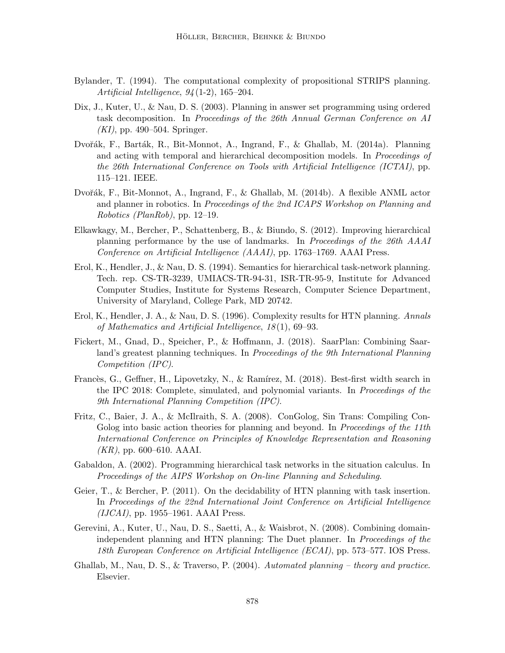- Bylander, T. (1994). The computational complexity of propositional STRIPS planning. Artificial Intelligence,  $94(1-2)$ , 165-204.
- Dix, J., Kuter, U., & Nau, D. S. (2003). Planning in answer set programming using ordered task decomposition. In Proceedings of the 26th Annual German Conference on AI  $(KI)$ , pp. 490–504. Springer.
- Dvořák, F., Barták, R., Bit-Monnot, A., Ingrand, F., & Ghallab, M. (2014a). Planning and acting with temporal and hierarchical decomposition models. In Proceedings of the 26th International Conference on Tools with Artificial Intelligence (ICTAI), pp. 115–121. IEEE.
- Dvořák, F., Bit-Monnot, A., Ingrand, F., & Ghallab, M. (2014b). A flexible ANML actor and planner in robotics. In Proceedings of the 2nd ICAPS Workshop on Planning and Robotics (PlanRob), pp. 12–19.
- Elkawkagy, M., Bercher, P., Schattenberg, B., & Biundo, S. (2012). Improving hierarchical planning performance by the use of landmarks. In Proceedings of the 26th AAAI Conference on Artificial Intelligence (AAAI), pp. 1763–1769. AAAI Press.
- Erol, K., Hendler, J., & Nau, D. S. (1994). Semantics for hierarchical task-network planning. Tech. rep. CS-TR-3239, UMIACS-TR-94-31, ISR-TR-95-9, Institute for Advanced Computer Studies, Institute for Systems Research, Computer Science Department, University of Maryland, College Park, MD 20742.
- Erol, K., Hendler, J. A., & Nau, D. S. (1996). Complexity results for HTN planning. Annals of Mathematics and Artificial Intelligence, 18 (1), 69–93.
- Fickert, M., Gnad, D., Speicher, P., & Hoffmann, J. (2018). SaarPlan: Combining Saarland's greatest planning techniques. In *Proceedings of the 9th International Planning* Competition (IPC).
- Francès, G., Geffner, H., Lipovetzky, N., & Ramírez, M. (2018). Best-first width search in the IPC 2018: Complete, simulated, and polynomial variants. In Proceedings of the 9th International Planning Competition (IPC).
- Fritz, C., Baier, J. A., & McIlraith, S. A. (2008). ConGolog, Sin Trans: Compiling Con-Golog into basic action theories for planning and beyond. In *Proceedings of the 11th* International Conference on Principles of Knowledge Representation and Reasoning  $(KR)$ , pp. 600–610. AAAI.
- Gabaldon, A. (2002). Programming hierarchical task networks in the situation calculus. In Proceedings of the AIPS Workshop on On-line Planning and Scheduling.
- Geier, T., & Bercher, P. (2011). On the decidability of HTN planning with task insertion. In Proceedings of the 22nd International Joint Conference on Artificial Intelligence  $(IJCAI)$ , pp. 1955–1961. AAAI Press.
- Gerevini, A., Kuter, U., Nau, D. S., Saetti, A., & Waisbrot, N. (2008). Combining domainindependent planning and HTN planning: The Duet planner. In *Proceedings of the* 18th European Conference on Artificial Intelligence (ECAI), pp. 573–577. IOS Press.
- Ghallab, M., Nau, D. S.,  $\&$  Traverso, P. (2004). Automated planning theory and practice. Elsevier.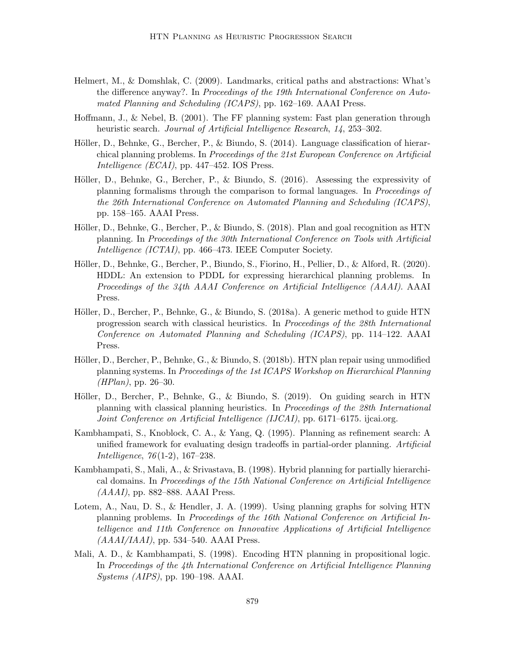- Helmert, M., & Domshlak, C. (2009). Landmarks, critical paths and abstractions: What's the difference anyway?. In Proceedings of the 19th International Conference on Automated Planning and Scheduling (ICAPS), pp. 162–169. AAAI Press.
- Hoffmann, J., & Nebel, B. (2001). The FF planning system: Fast plan generation through heuristic search. Journal of Artificial Intelligence Research, 14, 253–302.
- Höller, D., Behnke, G., Bercher, P., & Biundo, S.  $(2014)$ . Language classification of hierarchical planning problems. In Proceedings of the 21st European Conference on Artificial Intelligence (ECAI), pp. 447–452. IOS Press.
- Höller, D., Behnke, G., Bercher, P., & Biundo, S. (2016). Assessing the expressivity of planning formalisms through the comparison to formal languages. In Proceedings of the 26th International Conference on Automated Planning and Scheduling (ICAPS), pp. 158–165. AAAI Press.
- Höller, D., Behnke, G., Bercher, P., & Biundo, S. (2018). Plan and goal recognition as HTN planning. In Proceedings of the 30th International Conference on Tools with Artificial Intelligence (ICTAI), pp. 466–473. IEEE Computer Society.
- Höller, D., Behnke, G., Bercher, P., Biundo, S., Fiorino, H., Pellier, D., & Alford, R. (2020). HDDL: An extension to PDDL for expressing hierarchical planning problems. In Proceedings of the 34th AAAI Conference on Artificial Intelligence (AAAI). AAAI Press.
- Höller, D., Bercher, P., Behnke, G., & Biundo, S. (2018a). A generic method to guide HTN progression search with classical heuristics. In Proceedings of the 28th International Conference on Automated Planning and Scheduling (ICAPS), pp. 114–122. AAAI Press.
- Höller, D., Bercher, P., Behnke, G., & Biundo, S. (2018b). HTN plan repair using unmodified planning systems. In Proceedings of the 1st ICAPS Workshop on Hierarchical Planning  $(HPlan)$ , pp. 26–30.
- Höller, D., Bercher, P., Behnke, G., & Biundo, S. (2019). On guiding search in HTN planning with classical planning heuristics. In Proceedings of the 28th International Joint Conference on Artificial Intelligence (IJCAI), pp. 6171–6175. ijcai.org.
- Kambhampati, S., Knoblock, C. A., & Yang, Q. (1995). Planning as refinement search: A unified framework for evaluating design tradeoffs in partial-order planning. Artificial Intelligence, 76 (1-2), 167–238.
- Kambhampati, S., Mali, A., & Srivastava, B. (1998). Hybrid planning for partially hierarchical domains. In Proceedings of the 15th National Conference on Artificial Intelligence  $(AAAI)$ , pp. 882–888. AAAI Press.
- Lotem, A., Nau, D. S., & Hendler, J. A. (1999). Using planning graphs for solving HTN planning problems. In Proceedings of the 16th National Conference on Artificial Intelligence and 11th Conference on Innovative Applications of Artificial Intelligence  $(AAAI/IAAI)$ , pp. 534–540. AAAI Press.
- Mali, A. D., & Kambhampati, S. (1998). Encoding HTN planning in propositional logic. In Proceedings of the 4th International Conference on Artificial Intelligence Planning Systems (AIPS), pp. 190–198. AAAI.